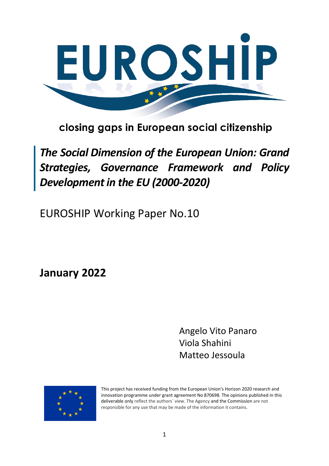

# closing gaps in European social citizenship

*The Social Dimension of the European Union: Grand Strategies, Governance Framework and Policy Development in the EU (2000-2020)*

EUROSHIP Working Paper No.10

**January 2022**

Angelo Vito Panaro Viola Shahini Matteo Jessoula



This project has received funding from the European Union's Horizon 2020 research and innovation programme under grant agreement No 870698. The opinions published in this deliverable only reflect the authors` view. The Agency and the Commission are not responsible for any use that may be made of the information it contains.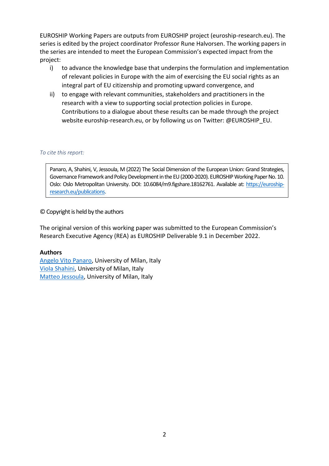EUROSHIP Working Papers are outputs from EUROSHIP project (euroship-research.eu). The series is edited by the project coordinator Professor Rune Halvorsen. The working papers in the series are intended to meet the European Commission's expected impact from the project:

- i) to advance the knowledge base that underpins the formulation and implementation of relevant policies in Europe with the aim of exercising the EU social rights as an integral part of EU citizenship and promoting upward convergence, and
- ii) to engage with relevant communities, stakeholders and practitioners in the research with a view to supporting social protection policies in Europe. Contributions to a dialogue about these results can be made through the project website euroship-research.eu, or by following us on Twitter: @EUROSHIP\_EU.

#### *To cite this report:*

Panaro, A, Shahini, V, Jessoula, M (2022) The Social Dimension of the European Union: Grand Strategies, Governance Framework and Policy Development in the EU (2000-2020). EUROSHIP Working Paper No. 10. Oslo: Oslo Metropolitan University. DOI: 10.6084/m9.figshare.18162761. Available at[: https://euroship](https://euroship-research.eu/publications)[research.eu/publications.](https://euroship-research.eu/publications)

#### © Copyright is held by the authors

The original version of this working paper was submitted to the European Commission's Research Executive Agency (REA) as EUROSHIP Deliverable 9.1 in December 2022.

#### **Authors**

Angelo [Vito Panaro,](mailto:angelo.panaro@unimi.it) University of Milan, Italy [Viola Shahini,](mailto:viola.shahini@unimi.it) University of Milan, Italy [Matteo Jessoula,](mailto:matteo.jessoula@unimi.it) University of Milan, Italy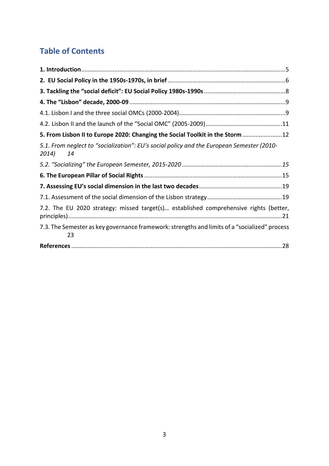# **Table of Contents**

| 5. From Lisbon II to Europe 2020: Changing the Social Toolkit in the Storm12                             |
|----------------------------------------------------------------------------------------------------------|
| 5.1. From neglect to "socialization": EU's social policy and the European Semester (2010-<br>2014)<br>14 |
|                                                                                                          |
|                                                                                                          |
|                                                                                                          |
|                                                                                                          |
|                                                                                                          |
| 7.2. The EU 2020 strategy: missed target(s) established comprehensive rights (better,                    |
| 7.3. The Semester as key governance framework: strengths and limits of a "socialized" process<br>23      |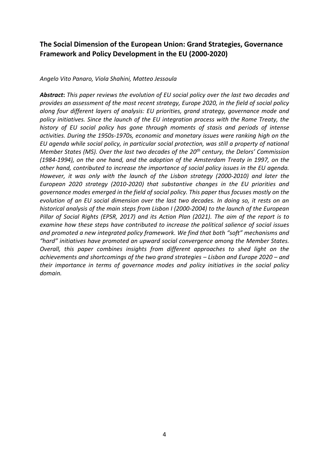## **The Social Dimension of the European Union: Grand Strategies, Governance Framework and Policy Development in the EU (2000-2020)**

*Angelo Vito Panaro, Viola Shahini, Matteo Jessoula*

*Abstract***:** *This paper reviews the evolution of EU social policy over the last two decades and provides an assessment of the most recent strategy, Europe 2020, in the field of social policy along four different layers of analysis: EU priorities, grand strategy, governance mode and policy initiatives. Since the launch of the EU integration process with the Rome Treaty, the history of EU social policy has gone through moments of stasis and periods of intense activities. During the 1950s-1970s, economic and monetary issues were ranking high on the EU agenda while social policy, in particular social protection, was still a property of national Member States (MS). Over the last two decades of the 20th century, the Delors' Commission (1984-1994), on the one hand, and the adoption of the Amsterdam Treaty in 1997, on the other hand, contributed to increase the importance of social policy issues in the EU agenda. However, it was only with the launch of the Lisbon strategy (2000-2010) and later the European 2020 strategy (2010-2020) that substantive changes in the EU priorities and governance modes emerged in the field of social policy. This paper thus focuses mostly on the evolution of an EU social dimension over the last two decades. In doing so, it rests on an historical analysis of the main steps from Lisbon I (2000-2004) to the launch of the European Pillar of Social Rights (EPSR, 2017) and its Action Plan (2021). The aim of the report is to examine how these steps have contributed to increase the political salience of social issues and promoted a new integrated policy framework. We find that both "soft" mechanisms and "hard" initiatives have promoted an upward social convergence among the Member States. Overall, this paper combines insights from different approaches to shed light on the achievements and shortcomings of the two grand strategies – Lisbon and Europe 2020 – and their importance in terms of governance modes and policy initiatives in the social policy domain.*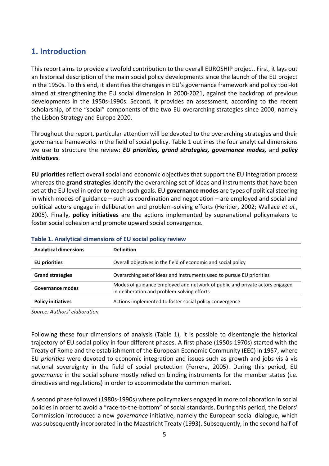# <span id="page-4-0"></span>**1. Introduction**

This report aims to provide a twofold contribution to the overall EUROSHIP project. First, it lays out an historical description of the main social policy developments since the launch of the EU project in the 1950s. To this end, it identifies the changes in EU's governance framework and policy tool-kit aimed at strengthening the EU social dimension in 2000-2021, against the backdrop of previous developments in the 1950s-1990s. Second, it provides an assessment, according to the recent scholarship, of the "social" components of the two EU overarching strategies since 2000, namely the Lisbon Strategy and Europe 2020.

Throughout the report, particular attention will be devoted to the overarching strategies and their governance frameworks in the field of social policy. Table 1 outlines the four analytical dimensions we use to structure the review: *EU priorities, grand strategies, governance modes,* and *policy initiatives.* 

**EU priorities** reflect overall social and economic objectives that support the EU integration process whereas the **grand strategies** identify the overarching set of ideas and instruments that have been set at the EU level in order to reach such goals. EU **governance modes** are types of political steering in which modes of guidance – such as coordination and negotiation – are employed and social and political actors engage in deliberation and problem-solving efforts (Heritier, 2002; Wallace *et al.*, 2005). Finally, **policy initiatives** are the actions implemented by supranational policymakers to foster social cohesion and promote upward social convergence.

| <b>Analytical dimensions</b>                                                         | <b>Definition</b>                                                                                                          |  |
|--------------------------------------------------------------------------------------|----------------------------------------------------------------------------------------------------------------------------|--|
| <b>EU</b> priorities                                                                 | Overall objectives in the field of economic and social policy                                                              |  |
| <b>Grand strategies</b>                                                              | Overarching set of ideas and instruments used to pursue EU priorities                                                      |  |
| <b>Governance modes</b>                                                              | Modes of guidance employed and network of public and private actors engaged<br>in deliberation and problem-solving efforts |  |
| Actions implemented to foster social policy convergence<br><b>Policy initiatives</b> |                                                                                                                            |  |

#### **Table 1. Analytical dimensions of EU social policy review**

*Source: Authors' elaboration*

Following these four dimensions of analysis (Table 1), it is possible to disentangle the historical trajectory of EU social policy in four different phases. A first phase (1950s-1970s) started with the Treaty of Rome and the establishment of the European Economic Community (EEC) in 1957, where EU *priorities* were devoted to economic integration and issues such as growth and jobs vis à vis national sovereignty in the field of social protection (Ferrera, 2005). During this period, EU *governance* in the social sphere mostly relied on binding instruments for the member states (i.e. directives and regulations) in order to accommodate the common market.

A second phase followed (1980s-1990s) where policymakers engaged in more collaboration in social policies in order to avoid a "race-to-the-bottom" of social standards. During this period, the Delors' Commission introduced a new *governance* initiative, namely the European social dialogue, which was subsequently incorporated in the Maastricht Treaty (1993). Subsequently, in the second half of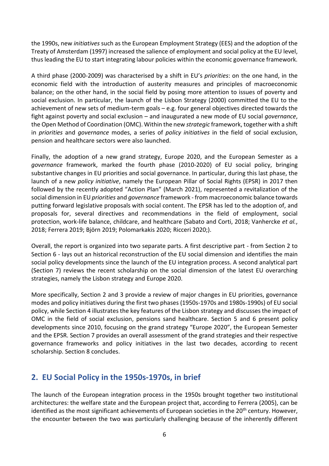the 1990s, new *initiatives* such as the European Employment Strategy (EES) and the adoption of the Treaty of Amsterdam (1997) increased the salience of employment and social policy at the EU level, thus leading the EU to start integrating labour policies within the economic governance framework.

A third phase (2000-2009) was characterised by a shift in EU's *priorities*: on the one hand, in the economic field with the introduction of austerity measures and principles of macroeconomic balance; on the other hand, in the social field by posing more attention to issues of poverty and social exclusion. In particular, the launch of the Lisbon Strategy (2000) committed the EU to the achievement of new sets of medium-term goals – e.g. four general objectives directed towards the fight against poverty and social exclusion – and inaugurated a new mode of EU social *governance*, the Open Method of Coordination (OMC). Within the new *strategic* framework, together with a shift in *priorities* and *governance* modes, a series of *policy initiatives* in the field of social exclusion, pension and healthcare sectors were also launched.

Finally, the adoption of a new grand strategy, Europe 2020, and the European Semester as a *governance* framework, marked the fourth phase (2010-2020) of EU social policy, bringing substantive changes in EU priorities and social governance. In particular, during this last phase, the launch of a new *policy initiative*, namely the European Pillar of Social Rights (EPSR) in 2017 then followed by the recently adopted "Action Plan" (March 2021), represented a revitalization of the social dimension in EU *priorities* and *governance* framework - from macroeconomic balance towards putting forward legislative proposals with social content. The EPSR has led to the adoption of, and proposals for, several directives and recommendations in the field of employment, social protection, work-life balance, childcare, and healthcare (Sabato and Corti, 2018; Vanhercke *et al.*, 2018; Ferrera 2019; Björn 2019; Polomarkakis 2020; Ricceri 2020;).

Overall, the report is organized into two separate parts. A first descriptive part - from Section 2 to Section 6 - lays out an historical reconstruction of the EU social dimension and identifies the main social policy developments since the launch of the EU integration process. A second analytical part (Section 7) reviews the recent scholarship on the social dimension of the latest EU overarching strategies, namely the Lisbon strategy and Europe 2020.

More specifically, Section 2 and 3 provide a review of major changes in EU priorities, governance modes and policy initiatives during the first two phases (1950s-1970s and 1980s-1990s) of EU social policy, while Section 4 illustrates the key features of the Lisbon strategy and discusses the impact of OMC in the field of social exclusion, pensions sand healthcare. Section 5 and 6 present policy developments since 2010, focusing on the grand strategy "Europe 2020", the European Semester and the EPSR. Section 7 provides an overall assessment of the grand strategies and their respective governance frameworks and policy initiatives in the last two decades, according to recent scholarship. Section 8 concludes.

# <span id="page-5-0"></span>**2. EU Social Policy in the 1950s-1970s, in brief**

The launch of the European integration process in the 1950s brought together two institutional architectures: the welfare state and the European project that, according to Ferrera (2005), can be identified as the most significant achievements of European societies in the 20<sup>th</sup> century. However, the encounter between the two was particularly challenging because of the inherently different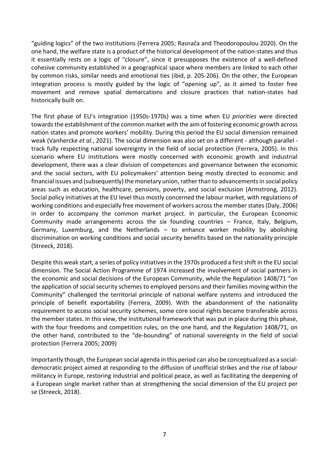"guiding logics" of the two institutions (Ferrera 2005; Rasnača and Theodoropoulou 2020). On the one hand, the welfare state is a product of the historical development of the nation-states and thus it essentially rests on a logic of "closure", since it presupposes the existence of a well-defined cohesive community established in a geographical space where members are linked to each other by common risks, similar needs and emotional ties (ibid, p. 205-206). On the other, the European integration process is mostly guided by the logic of "opening up", as it aimed to foster free movement and remove spatial demarcations and closure practices that nation-states had historically built on.

The first phase of EU's integration (1950s-1970s) was a time when EU *priorities* were directed towards the establishment of the common market with the aim of fostering economic growth across nation states and promote workers' mobility. During this period the EU social dimension remained weak (Vanhercke *et al.*, 2021). The social dimension was also set on a different - although parallel track fully respecting national sovereignty in the field of social protection (Ferrera, 2005). In this scenario where EU institutions were mostly concerned with economic growth and industrial development, there was a clear division of competences and governance between the economic and the social sectors, with EU policymakers' attention being mostly directed to economic and financial issues and (subsequently) the monetary union, rather than to advancements in social policy areas such as education, healthcare, pensions, poverty, and social exclusion (Armstrong, 2012). Social policy initiatives at the EU level thus mostly concerned the labour market, with regulations of working conditions and especially free movement of workers across the member states (Daly, 2006) in order to accompany the common market project. In particular, the European Economic Community made arrangements across the six founding countries – France, Italy, Belgium, Germany, Luxemburg, and the Netherlands – to enhance worker mobility by abolishing discrimination on working conditions and social security benefits based on the nationality principle (Streeck, 2018).

Despite this weak start, a series of policy initiatives in the 1970s produced a first shift in the EU social dimension. The Social Action Programme of 1974 increased the involvement of social partners in the economic and social decisions of the European Community, while the Regulation 1408/71 "on the application of social security schemes to employed persons and their families moving within the Community" challenged the territorial principle of national welfare systems and introduced the principle of benefit exportability (Ferrera, 2009). With the abandonment of the nationality requirement to access social security schemes, some core social rights became transferable across the member states. In this view, the institutional framework that was put in place during this phase, with the four freedoms and competition rules, on the one hand, and the Regulation 1408/71, on the other hand, contributed to the "de-bounding" of national sovereignty in the field of social protection (Ferrera 2005; 2009)

Importantly though, the European social agenda in this period can also be conceptualized as a socialdemocratic project aimed at responding to the diffusion of unofficial strikes and the rise of labour militancy in Europe, restoring industrial and political peace, as well as facilitating the deepening of a European single market rather than at strengthening the social dimension of the EU project per se (Streeck, 2018).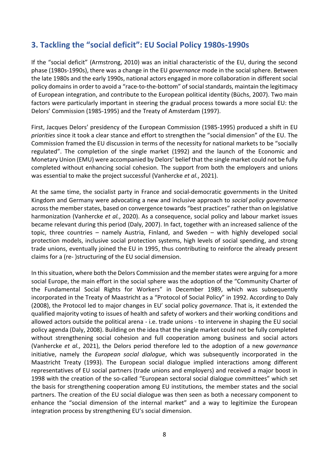# <span id="page-7-0"></span>**3. Tackling the "social deficit": EU Social Policy 1980s-1990s**

If the "social deficit" (Armstrong, 2010) was an initial characteristic of the EU, during the second phase (1980s-1990s), there was a change in the EU *governance* mode in the social sphere. Between the late 1980s and the early 1990s, national actors engaged in more collaboration in different social policy domainsin order to avoid a "race-to-the-bottom" of social standards, maintain the legitimacy of European integration, and contribute to the European political identity (Büchs, 2007). Two main factors were particularly important in steering the gradual process towards a more social EU: the Delors' Commission (1985-1995) and the Treaty of Amsterdam (1997).

First, Jacques Delors' presidency of the European Commission (1985-1995) produced a shift in EU *priorities* since it took a clear stance and effort to strengthen the "social dimension" of the EU. The Commission framed the EU discussion in terms of the necessity for national markets to be "socially regulated". The completion of the single market (1992) and the launch of the Economic and Monetary Union (EMU) were accompanied by Delors' belief that the single market could not be fully completed without enhancing social cohesion. The support from both the employers and unions was essential to make the project successful (Vanhercke *et al.*, 2021).

At the same time, the socialist party in France and social-democratic governments in the United Kingdom and Germany were advocating a new and inclusive approach to *social policy governance* across the member states, based on convergence towards "best practices" rather than on legislative harmonization (Vanhercke *et al.*, 2020). As a consequence, social policy and labour market issues became relevant during this period (Daly, 2007). In fact, together with an increased salience of the topic, three countries – namely Austria, Finland, and Sweden – with highly developed social protection models, inclusive social protection systems, high levels of social spending, and strong trade unions, eventually joined the EU in 1995, thus contributing to reinforce the already present claims for a (re- )structuring of the EU social dimension.

In this situation, where both the Delors Commission and the member states were arguing for a more social Europe, the main effort in the social sphere was the adoption of the "Community Charter of the Fundamental Social Rights for Workers" in December 1989, which was subsequently incorporated in the Treaty of Maastricht as a "Protocol of Social Policy" in 1992. According to Daly (2008), the Protocol led to major changes in EU' social policy *governance*. That is, it extended the qualified majority voting to issues of health and safety of workers and their working conditions and allowed actors outside the political arena - i.e. trade unions - to intervene in shaping the EU social policy agenda (Daly, 2008). Building on the idea that the single market could not be fully completed without strengthening social cohesion and full cooperation among business and social actors (Vanhercke *et al.*, 2021), the Delors period therefore led to the adoption of a new *governance* initiative, namely the *European social dialogue*, which was subsequently incorporated in the Maastricht Treaty (1993). The European social dialogue implied interactions among different representatives of EU social partners (trade unions and employers) and received a major boost in 1998 with the creation of the so-called "European sectoral social dialogue committees" which set the basis for strengthening cooperation among EU institutions, the member states and the social partners. The creation of the EU social dialogue was then seen as both a necessary component to enhance the "social dimension of the internal market" and a way to legitimize the European integration process by strengthening EU's social dimension.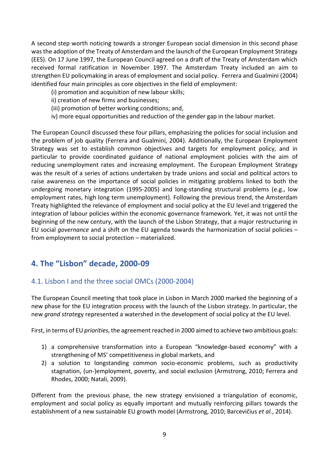A second step worth noticing towards a stronger European social dimension in this second phase wasthe adoption of the Treaty of Amsterdam and the launch of the European Employment Strategy (EES). On 17 June 1997, the European Council agreed on a draft of the Treaty of Amsterdam which received formal ratification in November 1997. The Amsterdam Treaty included an aim to strengthen EU policymaking in areas of employment and social policy. Ferrera and Gualmini (2004) identified four main principles as core objectives in the field of employment:

- (i) promotion and acquisition of new labour skills;
- ii) creation of new firms and businesses;
- (iii) promotion of better working conditions; and,
- iv) more equal opportunities and reduction of the gender gap in the labour market.

The European Council discussed these four pillars, emphasizing the policies for social inclusion and the problem of job quality (Ferrera and Gualmini, 2004). Additionally, the European Employment Strategy was set to establish common objectives and targets for employment policy, and in particular to provide coordinated guidance of national employment policies with the aim of reducing unemployment rates and increasing employment. The European Employment Strategy was the result of a series of actions undertaken by trade unions and social and political actors to raise awareness on the importance of social policies in mitigating problems linked to both the undergoing monetary integration (1995-2005) and long-standing structural problems (e.g., low employment rates, high long term unemployment). Following the previous trend, the Amsterdam Treaty highlighted the relevance of employment and social policy at the EU level and triggered the integration of labour policies within the economic governance framework. Yet, it was not until the beginning of the new century, with the launch of the Lisbon Strategy, that a major restructuring in EU social *governance* and a shift on the EU agenda towards the harmonization of social policies – from employment to social protection – materialized.

## <span id="page-8-0"></span>**4. The "Lisbon" decade, 2000-09**

#### <span id="page-8-1"></span>4.1. Lisbon I and the three social OMCs (2000-2004)

The European Council meeting that took place in Lisbon in March 2000 marked the beginning of a new phase for the EU integration process with the launch of the Lisbon strategy. In particular, the new *grand strate*gy represented a watershed in the development of social policy at the EU level.

First, in terms of EU *priorities*, the agreement reached in 2000 aimed to achieve two ambitious goals:

- 1) a comprehensive transformation into a European "knowledge-based economy" with a strengthening of MS' competitiveness in global markets, and
- 2) a solution to longstanding common socio-economic problems, such as productivity stagnation, (un-)employment, poverty, and social exclusion (Armstrong, 2010; Ferrera and Rhodes, 2000; Natali, 2009).

Different from the previous phase, the new strategy envisioned a triangulation of economic, employment and social policy as equally important and mutually reinforcing pillars towards the establishment of a new sustainable EU growth model (Armstrong, 2010; Barcevičius *et al.*, 2014).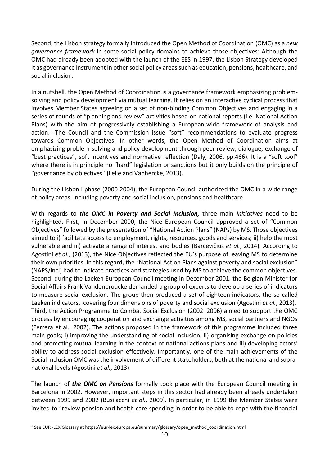Second, the Lisbon strategy formally introduced the Open Method of Coordination (OMC) as a *new governance framework* in some social policy domains to achieve those objectives: Although the OMC had already been adopted with the launch of the EES in 1997, the Lisbon Strategy developed it as governance instrument in other social policy areas such as education, pensions, healthcare, and social inclusion.

In a nutshell, the Open Method of Coordination is a governance framework emphasizing problemsolving and policy development via mutual learning. It relies on an interactive cyclical process that involves Member States agreeing on a set of non-binding Common Objectives and engaging in a series of rounds of "planning and review" activities based on national reports (i.e. National Action Plans) with the aim of progressively establishing a European-wide framework of analysis and action. <sup>1</sup> The Council and the Commission issue "soft" recommendations to evaluate progress towards Common Objectives. In other words, the Open Method of Coordination aims at emphasizing problem-solving and policy development through peer review, dialogue, exchange of "best practices", soft incentives and normative reflection (Daly, 2006, pp.466). It is a "soft tool" where there is in principle no "hard" legislation or sanctions but it only builds on the principle of "governance by objectives" (Lelie and Vanhercke, 2013).

During the Lisbon I phase (2000-2004), the European Council authorized the OMC in a wide range of policy areas, including poverty and social inclusion, pensions and healthcare

With regards to *the OMC in Poverty and Social Inclusion,* three main *initiatives* need to be highlighted. First, in December 2000, the Nice European Council approved a set of "Common Objectives" followed by the presentation of "National Action Plans" (NAPs) by MS. Those objectives aimed to i) facilitate access to employment, rights, resources, goods and services; ii) help the most vulnerable and iii) activate a range of interest and bodies (Barcevičius *et al.*, 2014). According to Agostini *et al.*, (2013), the Nice Objectives reflected the EU's purpose of leaving MS to determine their own priorities. In this regard, the "National Action Plans against poverty and social exclusion" (NAPS/incl) had to indicate practices and strategies used by MS to achieve the common objectives. Second, during the Laeken European Council meeting in December 2001, the Belgian Minister for Social Affairs Frank Vandenbroucke demanded a group of experts to develop a series of indicators to measure social exclusion. The group then produced a set of eighteen indicators, the so-called Laeken indicators, covering four dimensions of poverty and social exclusion (Agostini *et al.*, 2013). Third, the Action Programme to Combat Social Exclusion (2002–2006) aimed to support the OMC process by encouraging cooperation and exchange activities among MS, social partners and NGOs (Ferrera et al., 2002). The actions proposed in the framework of this programme included three main goals; i) improving the understanding of social inclusion, ii) organising exchange on policies and promoting mutual learning in the context of national actions plans and iii) developing actors' ability to address social exclusion effectively. Importantly, one of the main achievements of the Social Inclusion OMC was the involvement of different stakeholders, both at the national and supranational levels (Agostini *et al.*, 2013).

The launch of *the OMC on Pensions* formally took place with the European Council meeting in Barcelona in 2002. However, important steps in this sector had already been already undertaken between 1999 and 2002 (Busilacchi *et al.*, 2009). In particular, in 1999 the Member States were invited to "review pension and health care spending in order to be able to cope with the financial

<sup>1</sup> See EUR -LEX Glossary at https://eur-lex.europa.eu/summary/glossary/open\_method\_coordination.html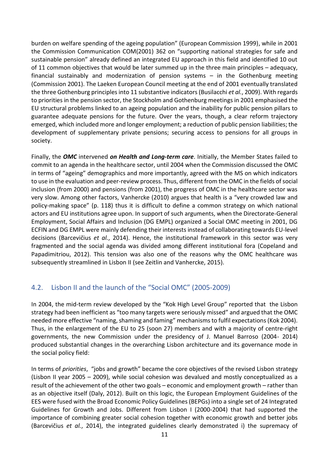burden on welfare spending of the ageing population" (European Commission 1999), while in 2001 the Commission Communication COM(2001) 362 on "supporting national strategies for safe and sustainable pension" already defined an integrated EU approach in this field and identified 10 out of 11 common objectives that would be later summed up in the three main principles – adequacy, financial sustainably and modernization of pension systems – in the Gothenburg meeting (Commission 2001). The Laeken European Council meeting at the end of 2001 eventually translated the three Gothenburg principles into 11 substantive indicators (Busilacchi *et al.*, 2009). With regards to priorities in the pension sector, the Stockholm and Gothenburg meetings in 2001 emphasised the EU structural problems linked to an ageing population and the inability for public pension pillars to guarantee adequate pensions for the future. Over the years, though, a clear reform trajectory emerged, which included more and longer employment; a reduction of public pension liabilities; the development of supplementary private pensions; securing access to pensions for all groups in society.

Finally, the *OMC* intervened *on Health and Long-term care*. Initially, the Member States failed to commit to an agenda in the healthcare sector, until 2004 when the Commission discussed the OMC in terms of "ageing" demographics and more importantly, agreed with the MS on which indicators to use in the evaluation and peer-review process. Thus, different from the OMC in the fields of social inclusion (from 2000) and pensions (from 2001), the progress of OMC in the healthcare sector was very slow. Among other factors, Vanhercke (2010) argues that health is a "very crowded law and policy-making space" (p. 118) thus it is difficult to define a common strategy on which national actors and EU institutions agree upon. In support of such arguments, when the Directorate-General Employment, Social Affairs and Inclusion (DG EMPL) organized a Social OMC meeting in 2001, DG ECFIN and DG EMPL were mainly defending their interests instead of collaborating towards EU-level decisions (Barcevičius *et al.*, 2014). Hence, the institutional framework in this sector was very fragmented and the social agenda was divided among different institutional fora (Copeland and Papadimitriou, 2012). This tension was also one of the reasons why the OMC healthcare was subsequently streamlined in Lisbon II (see Zeitlin and Vanhercke, 2015).

## <span id="page-10-0"></span>4.2. Lisbon II and the launch of the "Social OMC" (2005-2009)

In 2004, the mid-term review developed by the "Kok High Level Group" reported that the Lisbon strategy had been inefficient as "too many targets were seriously missed" and argued that the OMC needed more effective "naming, shaming and faming" mechanismsto fulfil expectations(Kok 2004). Thus, in the enlargement of the EU to 25 (soon 27) members and with a majority of centre-right governments, the new Commission under the presidency of J. Manuel Barroso (2004- 2014) produced substantial changes in the overarching Lisbon architecture and its governance mode in the social policy field:

In terms of *priorities*, "jobs and growth" became the core objectives of the revised Lisbon strategy (Lisbon II year 2005 – 2009), while social cohesion was devalued and mostly conceptualized as a result of the achievement of the other two goals – economic and employment growth – rather than as an objective itself (Daly, 2012). Built on this logic, the European Employment Guidelines of the EES were fused with the Broad Economic Policy Guidelines (BEPGs) into a single set of 24 Integrated Guidelines for Growth and Jobs. Different from Lisbon I (2000-2004) that had supported the importance of combining greater social cohesion together with economic growth and better jobs (Barcevičius *et al.*, 2014), the integrated guidelines clearly demonstrated i) the supremacy of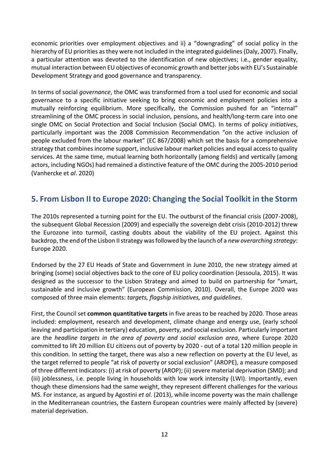economic priorities over employment objectives and ii) a "downgrading" of social policy in the hierarchy of EU priorities as they were not included in the integrated guidelines (Daly, 2007). Finally, a particular attention was devoted to the identification of new objectives; i.e., gender equality, mutual interaction between EU objectives of economic growth and better jobs with EU's Sustainable Development Strategy and good governance and transparency.

In terms of social *governance*, the OMC was transformed from a tool used for economic and social governance to a specific initiative seeking to bring economic and employment policies into a mutually reinforcing equilibrium. More specifically, the Commission pushed for an "internal" streamlining of the OMC process in social inclusion, pensions, and health/long-term care into one single OMC on Social Protection and Social Inclusion (Social OMC). In terms of policy *initiatives*, particularly important was the 2008 Commission Recommendation "on the active inclusion of people excluded from the labour market" (EC 867/2008) which set the basis for a comprehensive strategy that combines income support, inclusive labour market policies and equal access to quality services. At the same time, mutual learning both horizontally (among fields) and vertically (among actors, including NGOs) had remained a distinctive feature of the OMC during the 2005-2010 period (Vanhercke et *al*. 2020)

# <span id="page-11-0"></span>**5. From Lisbon II to Europe 2020: Changing the Social Toolkit in the Storm**

The 2010s represented a turning point for the EU. The outburst of the financial crisis (2007-2008), the subsequent Global Recession (2009) and especially the sovereign debt crisis (2010-2012) threw the Eurozone into turmoil, casting doubts about the viability of the EU project. Against this backdrop,the end of the Lisbon II strategy was followed by the launch of a *new overarching strategy*: Europe 2020.

Endorsed by the 27 EU Heads of State and Government in June 2010, the new strategy aimed at bringing (some) social objectives back to the core of EU policy coordination (Jessoula, 2015). It was designed as the successor to the Lisbon Strategy and aimed to build on partnership for "smart, sustainable and inclusive growth" (European Commission, 2010). Overall, the Europe 2020 was composed of three main elements: *targets, flagship initiatives, and guidelines*.

First, the Council set **common quantitative targets** in five areas to be reached by 2020. Those areas included: employment, research and development, climate change and energy use, (early school leaving and participation in tertiary) education, poverty, and social exclusion. Particularly important are the *headline targets in the area of poverty and social exclusion area*, where Europe 2020 committed to lift 20 million EU citizens out of poverty by 2020 - out of a total 120 million people in this condition. In setting the target, there was also a new reflection on poverty at the EU level, as the target referred to people "at risk of poverty or social exclusion" (AROPE), a measure composed of three different indicators: (i) at risk of poverty (AROP); (ii) severe material deprivation (SMD); and (iii) joblessness, i.e. people living in households with low work intensity (LWI). Importantly, even though these dimensions had the same weight, they represent different challenges for the various MS. For instance, as argued by Agostini *et al*. (2013), while income poverty was the main challenge in the Mediterranean countries, the Eastern European countries were mainly affected by (severe) material deprivation.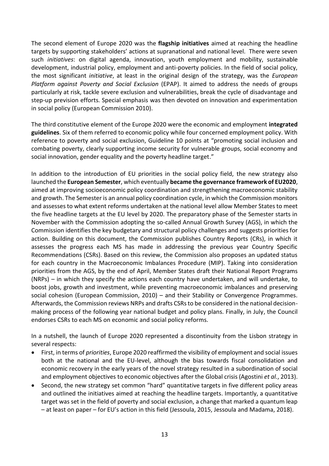The second element of Europe 2020 was the **flagship initiatives** aimed at reaching the headline targets by supporting stakeholders' actions at supranational and national level. There were seven such *initiatives*: on digital agenda, innovation, youth employment and mobility, sustainable development, industrial policy, employment and anti-poverty policies. In the field of social policy, the most significant *initiative*, at least in the original design of the strategy, was the *European Platform against Poverty and Social Exclusion* (EPAP). It aimed to address the needs of groups particularly at risk, tackle severe exclusion and vulnerabilities, break the cycle of disadvantage and step-up prevision efforts. Special emphasis was then devoted on innovation and experimentation in social policy (European Commission 2010).

The third constitutive element of the Europe 2020 were the economic and employment **integrated guidelines**. Six of them referred to economic policy while four concerned employment policy. With reference to poverty and social exclusion, Guideline 10 points at "promoting social inclusion and combating poverty, clearly supporting income security for vulnerable groups, social economy and social innovation, gender equality and the poverty headline target."

In addition to the introduction of EU priorities in the social policy field, the new strategy also launched the **European Semester**, which eventually **became the governance framework of EU2020**, aimed at improving socioeconomic policy coordination and strengthening macroeconomic stability and growth. The Semester is an annual policy coordination cycle, in which the Commission monitors and assesses to what extent reforms undertaken at the national level allow Member States to meet the five headline targets at the EU level by 2020. The preparatory phase of the Semester starts in November with the Commission adopting the so-called Annual Growth Survey (AGS), in which the Commission identifies the key budgetary and structural policy challenges and suggests priorities for action. Building on this document, the Commission publishes Country Reports (CRs), in which it assesses the progress each MS has made in addressing the previous year Country Specific Recommendations (CSRs). Based on this review, the Commission also proposes an updated status for each country in the Macroeconomic Imbalances Procedure (MIP). Taking into consideration priorities from the AGS, by the end of April, Member States draft their National Report Programs (NRPs) – in which they specify the actions each country have undertaken, and will undertake, to boost jobs, growth and investment, while preventing macroeconomic imbalances and preserving social cohesion (European Commission, 2010) – and their Stability or Convergence Programmes. Afterwards, the Commission reviews NRPs and drafts CSRs to be considered in the national decisionmaking process of the following year national budget and policy plans. Finally, in July, the Council endorses CSRs to each MS on economic and social policy reforms.

In a nutshell, the launch of Europe 2020 represented a discontinuity from the Lisbon strategy in several respects:

- First, in terms of *priorities*, Europe 2020 reaffirmed the visibility of employment and social issues both at the national and the EU-level, although the bias towards fiscal consolidation and economic recovery in the early years of the novel strategy resulted in a subordination of social and employment objectives to economic objectives after the Global crisis (Agostini *et al.*, 2013).
- Second, the new strategy set common "hard" quantitative targets in five different policy areas and outlined the initiatives aimed at reaching the headline targets. Importantly, a quantitative target was set in the field of poverty and social exclusion, a change that marked a quantum leap – at least on paper – for EU's action in this field (Jessoula, 2015, Jessoula and Madama, 2018).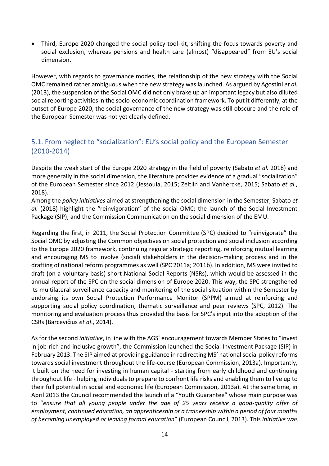• Third, Europe 2020 changed the social policy tool-kit, shifting the focus towards poverty and social exclusion, whereas pensions and health care (almost) "disappeared" from EU's social dimension.

However, with regards to governance modes, the relationship of the new strategy with the Social OMC remained rather ambiguous when the new strategy was launched. As argued by Agostini *et al.*  (2013), the suspension of the Social OMC did not only brake up an important legacy but also diluted social reporting activities in the socio-economic coordination framework. To put it differently, at the outset of Europe 2020, the social governance of the new strategy was still obscure and the role of the European Semester was not yet clearly defined.

## <span id="page-13-0"></span>5.1. From neglect to "socialization": EU's social policy and the European Semester (2010-2014)

Despite the weak start of the Europe 2020 strategy in the field of poverty (Sabato *et al.* 2018) and more generally in the social dimension, the literature provides evidence of a gradual "socialization" of the European Semester since 2012 (Jessoula, 2015; Zeitlin and Vanhercke, 2015; Sabato *et al.,* 2018).

Among the *policy initiatives* aimed at strengthening the social dimension in the Semester, Sabato *et al.* (2018) highlight the "reinvigoration" of the social OMC; the launch of the Social Investment Package (SIP); and the Commission Communication on the social dimension of the EMU.

Regarding the first, in 2011, the Social Protection Committee (SPC) decided to "reinvigorate" the Social OMC by adjusting the Common objectives on social protection and social inclusion according to the Europe 2020 framework, continuing regular strategic reporting, reinforcing mutual learning and encouraging MS to involve (social) stakeholders in the decision-making process and in the drafting of national reform programmes as well (SPC 2011a; 2011b). In addition, MS were invited to draft (on a voluntary basis) short National Social Reports (NSRs), which would be assessed in the annual report of the SPC on the social dimension of Europe 2020. This way, the SPC strengthened its multilateral surveillance capacity and monitoring of the social situation within the Semester by endorsing its own Social Protection Performance Monitor (SPPM) aimed at reinforcing and supporting social policy coordination, thematic surveillance and peer reviews (SPC, 2012). The monitoring and evaluation process thus provided the basis for SPC's input into the adoption of the CSRs (Barcevičius *et al*., 2014).

As for the second *initiative*, in line with the AGS' encouragement towards Member States to "invest in job-rich and inclusive growth", the Commission launched the Social Investment Package (SIP) in February 2013. The SIP aimed at providing guidance in redirecting MS' national social policy reforms towards social investment throughout the life-course (European Commission, 2013a). Importantly, it built on the need for investing in human capital - starting from early childhood and continuing throughout life - helping individuals to prepare to confront life risks and enabling them to live up to their full potential in social and economic life (European Commission, 2013a). At the same time, in April 2013 the Council recommended the launch of a "Youth Guarantee" whose main purpose was to "*ensure that all young people under the age of 25 years receive a good-quality offer of employment, continued education, an apprenticeship or a traineeship within a period of four months of becoming unemployed or leaving formal education*" (European Council, 2013). This *initiative* was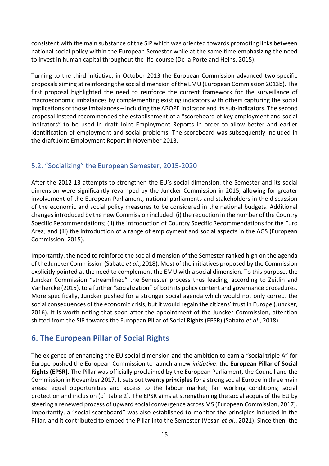consistent with the main substance of the SIP which was oriented towards promoting links between national social policy within the European Semester while at the same time emphasizing the need to invest in human capital throughout the life-course (De la Porte and Heins, 2015).

Turning to the third initiative, in October 2013 the European Commission advanced two specific proposals aiming at reinforcing the social dimension of the EMU (European Commission 2013b). The first proposal highlighted the need to reinforce the current framework for the surveillance of macroeconomic imbalances by complementing existing indicators with others capturing the social implications of those imbalances – including the AROPE indicator and its sub-indicators. The second proposal instead recommended the establishment of a "scoreboard of key employment and social indicators" to be used in draft Joint Employment Reports in order to allow better and earlier identification of employment and social problems. The scoreboard was subsequently included in the draft Joint Employment Report in November 2013.

## <span id="page-14-0"></span>5.2. "Socializing" the European Semester, 2015-2020

After the 2012-13 attempts to strengthen the EU's social dimension, the Semester and its social dimension were significantly revamped by the Juncker Commission in 2015, allowing for greater involvement of the European Parliament, national parliaments and stakeholders in the discussion of the economic and social policy measures to be considered in the national budgets. Additional changes introduced by the new Commission included: (i) the reduction in the number of the Country Specific Recommendations; (ii) the introduction of Country Specific Recommendations for the Euro Area; and (iii) the introduction of a range of employment and social aspects in the AGS (European Commission, 2015).

Importantly, the need to reinforce the social dimension of the Semester ranked high on the agenda of the Juncker Commission (Sabato *et al*., 2018). Most of the initiatives proposed by the Commission explicitly pointed at the need to complement the EMU with a social dimension. To this purpose, the Juncker Commission "streamlined" the Semester process thus leading, according to Zeitlin and Vanhercke (2015), to a further "socialization" of both its policy content and governance procedures. More specifically, Juncker pushed for a stronger social agenda which would not only correct the social consequences of the economic crisis, but it would regain the citizens' trust in Europe (Juncker, 2016). It is worth noting that soon after the appointment of the Juncker Commission, attention shifted from the SIP towards the European Pillar of Social Rights (EPSR) (Sabato *et al*., 2018).

# <span id="page-14-1"></span>**6. The European Pillar of Social Rights**

The exigence of enhancing the EU social dimension and the ambition to earn a "social triple A" for Europe pushed the European Commission to launch a new *initiative*: the **European Pillar of Social Rights (EPSR)**. The Pillar was officially proclaimed by the European Parliament, the Council and the Commission in November 2017. It sets out **twenty principles**for a strong social Europe in three main areas: equal opportunities and access to the labour market; fair working conditions; social protection and inclusion (cf. table 2). The EPSR aims at strengthening the social acquis of the EU by steering a renewed process of upward social convergence across MS (European Commission, 2017). Importantly, a "social scoreboard" was also established to monitor the principles included in the Pillar, and it contributed to embed the Pillar into the Semester (Vesan *et al*., 2021). Since then, the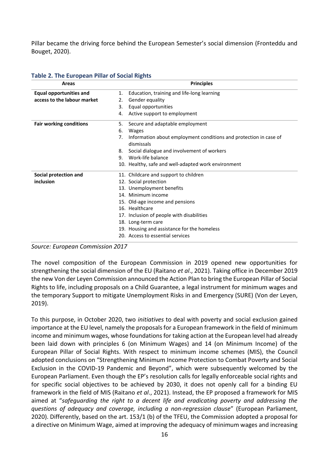Pillar became the driving force behind the European Semester's social dimension (Fronteddu and Bouget, 2020).

| Areas                          | <b>Principles</b>                                                       |  |  |
|--------------------------------|-------------------------------------------------------------------------|--|--|
| <b>Equal opportunities and</b> | Education, training and life-long learning<br>1.                        |  |  |
| access to the labour market    | Gender equality<br>2.                                                   |  |  |
|                                | Equal opportunities<br>3.                                               |  |  |
|                                | Active support to employment<br>4.                                      |  |  |
| <b>Fair working conditions</b> | Secure and adaptable employment<br>5.                                   |  |  |
|                                | Wages<br>6.                                                             |  |  |
|                                | Information about employment conditions and protection in case of<br>7. |  |  |
|                                | dismissals                                                              |  |  |
|                                | Social dialogue and involvement of workers<br>8.                        |  |  |
|                                | Work-life balance<br>9.                                                 |  |  |
|                                | 10. Healthy, safe and well-adapted work environment                     |  |  |
| Social protection and          | 11. Childcare and support to children                                   |  |  |
| inclusion                      | 12. Social protection                                                   |  |  |
|                                | 13. Unemployment benefits                                               |  |  |
|                                | 14. Minimum income                                                      |  |  |
|                                | 15. Old-age income and pensions                                         |  |  |
|                                | 16. Healthcare                                                          |  |  |
|                                | 17. Inclusion of people with disabilities                               |  |  |
|                                | 18. Long-term care                                                      |  |  |
|                                | 19. Housing and assistance for the homeless                             |  |  |
|                                | 20. Access to essential services                                        |  |  |

#### **Table 2. The European Pillar of Social Rights**

*Source: European Commission 2017*

The novel composition of the European Commission in 2019 opened new opportunities for strengthening the social dimension of the EU (Raitano *et al*., 2021). Taking office in December 2019 the new Von der Leyen Commission announced the Action Plan to bring the European Pillar of Social Rights to life, including proposals on a Child Guarantee, a legal instrument for minimum wages and the temporary Support to mitigate Unemployment Risks in and Emergency (SURE) (Von der Leyen, 2019).

To this purpose, in October 2020, two *initiatives* to deal with poverty and social exclusion gained importance at the EU level, namely the proposals for a European framework in the field of minimum income and minimum wages, whose foundations for taking action at the European level had already been laid down with principles 6 (on Minimum Wages) and 14 (on Minimum Income) of the European Pillar of Social Rights. With respect to minimum income schemes (MIS), the Council adopted conclusions on "Strengthening Minimum Income Protection to Combat Poverty and Social Exclusion in the COVID-19 Pandemic and Beyond", which were subsequently welcomed by the European Parliament. Even though the EP's resolution calls for legally enforceable social rights and for specific social objectives to be achieved by 2030, it does not openly call for a binding EU framework in the field of MIS (Raitano *et al*., 2021). Instead, the EP proposed a framework for MIS aimed at "*safeguarding the right to a decent life and eradicating poverty and addressing the questions of adequacy and coverage, including a non-regression clause*" (European Parliament, 2020). Differently, based on the art. 153/1 (b) of the TFEU, the Commission adopted a proposal for a directive on Minimum Wage, aimed at improving the adequacy of minimum wages and increasing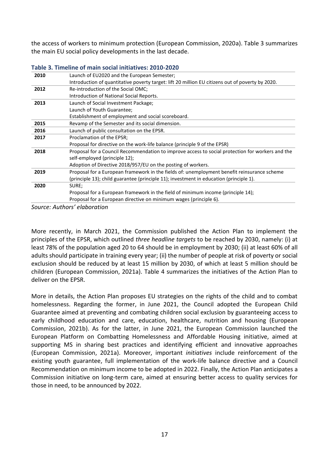the access of workers to minimum protection (European Commission, 2020a). Table 3 summarizes the main EU social policy developments in the last decade.

| 2010 | Launch of EU2020 and the European Semester;                                                      |  |  |
|------|--------------------------------------------------------------------------------------------------|--|--|
|      | Introduction of quantitative poverty target: lift 20 million EU citizens out of poverty by 2020. |  |  |
| 2012 | Re-introduction of the Social OMC;                                                               |  |  |
|      | Introduction of National Social Reports.                                                         |  |  |
| 2013 | Launch of Social Investment Package;                                                             |  |  |
|      | Launch of Youth Guarantee;                                                                       |  |  |
|      | Establishment of employment and social scoreboard.                                               |  |  |
| 2015 | Revamp of the Semester and its social dimension.                                                 |  |  |
| 2016 | Launch of public consultation on the EPSR.                                                       |  |  |
| 2017 | Proclamation of the EPSR;                                                                        |  |  |
|      | Proposal for directive on the work-life balance (principle 9 of the EPSR)                        |  |  |
| 2018 | Proposal for a Council Recommendation to improve access to social protection for workers and the |  |  |
|      | self-employed (principle 12);                                                                    |  |  |
|      | Adoption of Directive 2018/957/EU on the posting of workers.                                     |  |  |
| 2019 | Proposal for a European framework in the fields of: unemployment benefit reinsurance scheme      |  |  |
|      | (principle 13); child guarantee (principle 11); investment in education (principle 1).           |  |  |
| 2020 | SURE;                                                                                            |  |  |
|      | Proposal for a European framework in the field of minimum income (principle 14);                 |  |  |
|      | Proposal for a European directive on minimum wages (principle 6).                                |  |  |

| Table 3. Timeline of main social initiatives: 2010-2020 |  |
|---------------------------------------------------------|--|
|---------------------------------------------------------|--|

*Source: Authors' elaboration*

More recently, in March 2021, the Commission published the Action Plan to implement the principles of the EPSR, which outlined *three headline targets* to be reached by 2030, namely: (i) at least 78% of the population aged 20 to 64 should be in employment by 2030; (ii) at least 60% of all adults should participate in training every year; (ii) the number of people at risk of poverty or social exclusion should be reduced by at least 15 million by 2030, of which at least 5 million should be children (European Commission, 2021a). Table 4 summarizes the initiatives of the Action Plan to deliver on the EPSR.

More in details, the Action Plan proposes EU strategies on the rights of the child and to combat homelessness. Regarding the former, in June 2021, the Council adopted the European Child Guarantee aimed at preventing and combating children social exclusion by guaranteeing access to early childhood education and care, education, healthcare, nutrition and housing (European Commission, 2021b). As for the latter, in June 2021, the European Commission launched the European Platform on Combatting Homelessness and Affordable Housing initiative, aimed at supporting MS in sharing best practices and identifying efficient and innovative approaches (European Commission, 2021a). Moreover, important *initiatives* include reinforcement of the existing youth guarantee, full implementation of the work-life balance directive and a Council Recommendation on minimum income to be adopted in 2022. Finally, the Action Plan anticipates a Commission initiative on long-term care, aimed at ensuring better access to quality services for those in need, to be announced by 2022.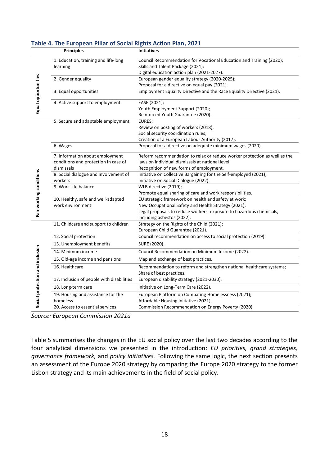|                                 | <b>Principles</b>                                                                     | <b>Initiatives</b>                                                                                                                                                                                               |  |  |
|---------------------------------|---------------------------------------------------------------------------------------|------------------------------------------------------------------------------------------------------------------------------------------------------------------------------------------------------------------|--|--|
|                                 | 1. Education, training and life-long<br>learning                                      | Council Recommendation for Vocational Education and Training (2020);<br>Skills and Talent Package (2021);<br>Digital education action plan (2021-2027).                                                          |  |  |
| Equal opportunities             | 2. Gender equality                                                                    | European gender equality strategy (2020-2025);<br>Proposal for a directive on equal pay (2021).                                                                                                                  |  |  |
|                                 | 3. Equal opportunities                                                                | Employment Equality Directive and the Race Equality Directive (2021).                                                                                                                                            |  |  |
|                                 | 4. Active support to employment                                                       | EASE (2021);<br>Youth Employment Support (2020);<br>Reinforced Youth Guarantee (2020).                                                                                                                           |  |  |
|                                 | 5. Secure and adaptable employment                                                    | EURES;<br>Review on posting of workers (2018);<br>Social security coordination rules;<br>Creation of a European Labour Authority (2017).                                                                         |  |  |
|                                 | 6. Wages                                                                              | Proposal for a directive on adequate minimum wages (2020).                                                                                                                                                       |  |  |
|                                 | 7. Information about employment<br>conditions and protection in case of<br>dismissals | Reform recommendation to relax or reduce worker protection as well as the<br>laws on individual dismissals at national level;<br>Recognition of new forms of employment.                                         |  |  |
|                                 | 8. Social dialogue and involvement of<br>workers                                      | Initiative on Collective Bargaining for the Self-employed (2021);<br>Initiative on Social Dialogue (2022).                                                                                                       |  |  |
|                                 | 9. Work-life balance                                                                  | WLB directive (2019);<br>Promote equal sharing of care and work responsibilities.                                                                                                                                |  |  |
| Fair working conditions         | 10. Healthy, safe and well-adapted<br>work environment                                | EU strategic framework on health and safety at work;<br>New Occupational Safety and Health Strategy (2021);<br>Legal proposals to reduce workers' exposure to hazardous chemicals,<br>including asbestos (2022). |  |  |
|                                 | 11. Childcare and support to children                                                 | Strategy on the Rights of the Child (2021);<br>European Child Guarantee (2021).                                                                                                                                  |  |  |
|                                 | 12. Social protection                                                                 | Council recommendation on access to social protection (2019).                                                                                                                                                    |  |  |
|                                 | 13. Unemployment benefits                                                             | SURE (2020).                                                                                                                                                                                                     |  |  |
|                                 | 14. Minimum income                                                                    | Council Recommendation on Minimum Income (2022).                                                                                                                                                                 |  |  |
|                                 | 15. Old-age income and pensions                                                       | Map and exchange of best practices.                                                                                                                                                                              |  |  |
|                                 | 16. Healthcare                                                                        | Recommendation to reform and strengthen national healthcare systems;<br>Share of best practices.                                                                                                                 |  |  |
|                                 | 17. Inclusion of people with disabilities                                             | European disability strategy (2021-2030).                                                                                                                                                                        |  |  |
|                                 | 18. Long-term care                                                                    | Initiative on Long-Term Care (2022).                                                                                                                                                                             |  |  |
| Social protection and inclusion | 19. Housing and assistance for the<br>homeless                                        | European Platform on Combating Homelessness (2021);<br>Affordable Housing Initiative (2021).                                                                                                                     |  |  |
|                                 | 20. Access to essential services                                                      | Commission Recommendation on Energy Poverty (2020).                                                                                                                                                              |  |  |

#### **Table 4. The European Pillar of Social Rights Action Plan, 2021**

*Source: European Commission 2021a*

Table 5 summarises the changes in the EU social policy over the last two decades according to the four analytical dimensions we presented in the introduction: *EU priorities, grand strategies, governance framework,* and *policy initiatives.* Following the same logic, the next section presents an assessment of the Europe 2020 strategy by comparing the Europe 2020 strategy to the former Lisbon strategy and its main achievements in the field of social policy.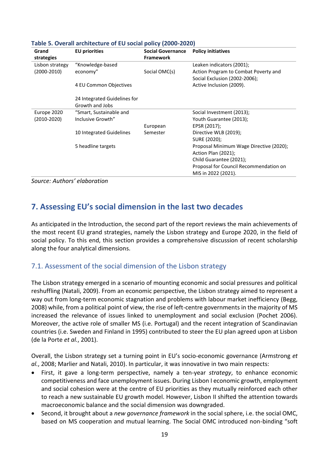| Grand<br>strategies | <b>EU</b> priorities                            | <b>Social Governance</b><br><b>Framework</b> | <b>Policy initiatives</b>                                 |
|---------------------|-------------------------------------------------|----------------------------------------------|-----------------------------------------------------------|
| Lisbon strategy     | "Knowledge-based                                |                                              | Leaken indicators (2001);                                 |
| $(2000-2010)$       | economy"                                        | Social OMC(s)                                | Action Program to Combat Poverty and                      |
|                     | 4 EU Common Objectives                          |                                              | Social Exclusion (2002-2006);<br>Active Inclusion (2009). |
|                     | 24 Integrated Guidelines for<br>Growth and Jobs |                                              |                                                           |
| Europe 2020         | "Smart, Sustainable and                         |                                              | Social Investment (2013);                                 |
| (2010-2020)         | Inclusive Growth"                               |                                              | Youth Guarantee (2013);                                   |
|                     |                                                 | European                                     | EPSR (2017);                                              |
|                     | 10 Integrated Guidelines                        | Semester                                     | Directive WLB (2019);                                     |
|                     |                                                 |                                              | SURE (2020);                                              |
|                     | 5 headline targets                              |                                              | Proposal Minimum Wage Directive (2020);                   |
|                     |                                                 |                                              | Action Plan (2021);                                       |
|                     |                                                 |                                              | Child Guarantee (2021);                                   |
|                     |                                                 |                                              | Proposal for Council Recommendation on                    |
|                     |                                                 |                                              | MIS in 2022 (2021).                                       |

#### **Table 5. Overall architecture of EU social policy (2000-2020)**

*Source: Authors' elaboration*

# <span id="page-18-0"></span>**7. Assessing EU's social dimension in the last two decades**

As anticipated in the Introduction, the second part of the report reviews the main achievements of the most recent EU grand strategies, namely the Lisbon strategy and Europe 2020, in the field of social policy. To this end, this section provides a comprehensive discussion of recent scholarship along the four analytical dimensions.

#### <span id="page-18-1"></span>7.1. Assessment of the social dimension of the Lisbon strategy

The Lisbon strategy emerged in a scenario of mounting economic and social pressures and political reshuffling (Natali, 2009). From an economic perspective, the Lisbon strategy aimed to represent a way out from long-term economic stagnation and problems with labour market inefficiency (Begg, 2008) while, from a political point of view, the rise of left-centre governments in the majority of MS increased the relevance of issues linked to unemployment and social exclusion (Pochet 2006). Moreover, the active role of smaller MS (i.e. Portugal) and the recent integration of Scandinavian countries (i.e. Sweden and Finland in 1995) contributed to steer the EU plan agreed upon at Lisbon (de la Porte *et al.*, 2001).

Overall, the Lisbon strategy set a turning point in EU's socio-economic governance (Armstrong *et al.*, 2008; Marlier and Natali, 2010). In particular, it was innovative in two main respects:

- First, it gave a long-term perspective, namely a ten-year *strategy*, to enhance economic competitiveness and face unemployment issues. During Lisbon I economic growth, employment and social cohesion were at the centre of EU priorities as they mutually reinforced each other to reach a new sustainable EU growth model. However, Lisbon II shifted the attention towards macroeconomic balance and the social dimension was downgraded.
- Second, it brought about a *new governance framework* in the social sphere, i.e. the social OMC, based on MS cooperation and mutual learning. The Social OMC introduced non-binding "soft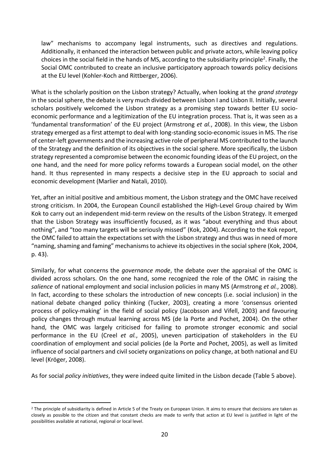law" mechanisms to accompany legal instruments, such as directives and regulations. Additionally, it enhanced the interaction between public and private actors, while leaving policy choices in the social field in the hands of MS, according to the subsidiarity principle<sup>2</sup>. Finally, the Social OMC contributed to create an inclusive participatory approach towards policy decisions at the EU level (Kohler-Koch and Rittberger, 2006).

What is the scholarly position on the Lisbon strategy? Actually, when looking at the *grand strategy* in the social sphere, the debate is very much divided between Lisbon I and Lisbon II. Initially, several scholars positively welcomed the Lisbon strategy as a promising step towards better EU socioeconomic performance and a legitimization of the EU integration process. That is, it was seen as a 'fundamental transformation' of the EU project (Armstrong *et al.*, 2008). In this view, the Lisbon strategy emerged as a first attempt to deal with long-standing socio-economic issues in MS. The rise of center-left governments and the increasing active role of peripheral MS contributed to the launch of the Strategy and the definition of its objectives in the social sphere. More specifically, the Lisbon strategy represented a compromise between the economic founding ideas of the EU project, on the one hand, and the need for more policy reforms towards a European social model, on the other hand. It thus represented in many respects a decisive step in the EU approach to social and economic development (Marlier and Natali, 2010).

Yet, after an initial positive and ambitious moment, the Lisbon strategy and the OMC have received strong criticism. In 2004, the European Council established the High-Level Group chaired by Wim Kok to carry out an independent mid-term review on the results of the Lisbon Strategy. It emerged that the Lisbon Strategy was insufficiently focused, as it was "about everything and thus about nothing", and "too many targets will be seriously missed" (Kok, 2004). According to the Kok report, the OMC failed to attain the expectations set with the Lisbon strategy and thus was in need of more "naming, shaming and faming" mechanisms to achieve its objectives in the social sphere (Kok, 2004, p. 43).

Similarly, for what concerns the *governance mode*, the debate over the appraisal of the OMC is divided across scholars. On the one hand, some recognized the role of the OMC in raising the *salience* of national employment and social inclusion policies in many MS (Armstrong *et al.*, 2008). In fact, according to these scholars the introduction of new concepts (i.e. social inclusion) in the national debate changed policy thinking (Tucker, 2003), creating a more 'consensus oriented process of policy-making' in the field of social policy (Jacobsson and Vifell, 2003) and favouring policy changes through mutual learning across MS (de la Porte and Pochet, 2004). On the other hand, the OMC was largely criticised for failing to promote stronger economic and social performance in the EU (Creel *et al.*, 2005), uneven participation of stakeholders in the EU coordination of employment and social policies (de la Porte and Pochet, 2005), as well as limited influence of social partners and civil society organizations on policy change, at both national and EU level (Kröger, 2008).

As for social *policy initiatives*, they were indeed quite limited in the Lisbon decade (Table 5 above).

<sup>&</sup>lt;sup>2</sup> The principle of subsidiarity is defined in Article [5](http://publications.europa.eu/resource/celex/12016M005) of the Treaty on European Union. It aims to ensure that decisions are taken as closely as possible to the citizen and that constant checks are made to verify that action at EU level is justified in light of the possibilities available at national, regional or local level.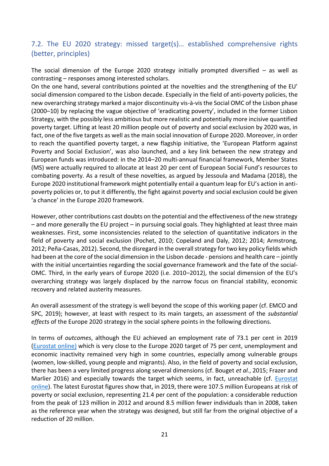## <span id="page-20-0"></span>7.2. The EU 2020 strategy: missed target(s)… established comprehensive rights (better, principles)

The social dimension of the Europe 2020 strategy initially prompted diversified  $-$  as well as contrasting – responses among interested scholars.

On the one hand, several contributions pointed at the novelties and the strengthening of the EU' social dimension compared to the Lisbon decade. Especially in the field of anti-poverty policies, the new overarching strategy marked a major discontinuity vis-à-vis the Social OMC of the Lisbon phase (2000–10) by replacing the vague objective of 'eradicating poverty', included in the former Lisbon Strategy, with the possibly less ambitious but more realistic and potentially more incisive quantified poverty target. Lifting at least 20 million people out of poverty and social exclusion by 2020 was, in fact, one of the five targets as well as the main social innovation of Europe 2020. Moreover, in order to reach the quantified poverty target, a new flagship initiative, the 'European Platform against Poverty and Social Exclusion', was also launched, and a key link between the new strategy and European funds was introduced: in the 2014–20 multi-annual financial framework, Member States (MS) were actually required to allocate at least 20 per cent of European Social Fund's resources to combating poverty. As a result of these novelties, as argued by Jessoula and Madama (2018), the Europe 2020 institutional framework might potentially entail a quantum leap for EU's action in antipoverty policies or, to put it differently, the fight against poverty and social exclusion could be given 'a chance' in the Europe 2020 framework.

However, other contributions cast doubts on the potential and the effectiveness of the new strategy – and more generally the EU project – in pursuing social goals. They highlighted at least three main weaknesses. First, some inconsistencies related to the selection of quantitative indicators in the field of poverty and social exclusion (Pochet, 2010; Copeland and Daly, 2012; 2014; Armstrong, 2012; Peña-Casas, 2012). Second, the disregard in the overall strategy for two key policy fields which had been at the core of the social dimension in the Lisbon decade - pensions and health care – jointly with the initial uncertainties regarding the social governance framework and the fate of the social-OMC. Third, in the early years of Europe 2020 (i.e. 2010–2012), the social dimension of the EU's overarching strategy was largely displaced by the narrow focus on financial stability, economic recovery and related austerity measures.

An overall assessment of the strategy is well beyond the scope of this working paper (cf. EMCO and SPC, 2019); however, at least with respect to its main targets, an assessment of the *substantial effects* of the Europe 2020 strategy in the social sphere points in the following directions.

In terms of *outcomes*, although the EU achieved an employment rate of 73.1 per cent in 2019 [\(Eurostat online\)](https://ec.europa.eu/eurostat/statistics-explained/index.php?title=Employment_-_annual_statistics#employment_down_compared_to_2019) which is very close to the Europe 2020 target of 75 per cent, unemployment and economic inactivity remained very high in some countries, especially among vulnerable groups (women, low-skilled, young people and migrants). Also, in the field of poverty and social exclusion, there has been a very limited progress along several dimensions (cf. Bouget *et al.*, 2015; Frazer and Marlier 2016) and especially towards the target which seems, in fact, unreachable (cf. [Eurostat](https://ec.europa.eu/eurostat/statistics-explained/index.php?title=Archive:Europe_2020_indicators_-_poverty_and_social_exclusion&oldid=394836)  [online\)](https://ec.europa.eu/eurostat/statistics-explained/index.php?title=Archive:Europe_2020_indicators_-_poverty_and_social_exclusion&oldid=394836). The latest Eurostat figures show that, in 2019, there were 107.5 million Europeans at risk of poverty or social exclusion, representing 21.4 per cent of the population: a considerable reduction from the peak of 123 million in 2012 and around 8.5 million fewer individuals than in 2008, taken as the reference year when the strategy was designed, but still far from the original objective of a reduction of 20 million.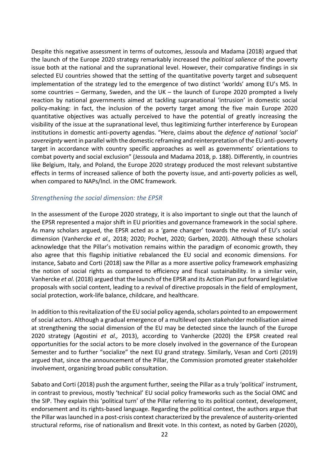Despite this negative assessment in terms of outcomes, Jessoula and Madama (2018) argued that the launch of the Europe 2020 strategy remarkably increased the *political salience* of the poverty issue both at the national and the supranational level. However, their comparative findings in six selected EU countries showed that the setting of the quantitative poverty target and subsequent implementation of the strategy led to the emergence of two distinct 'worlds' among EU's MS. In some countries – Germany, Sweden, and the UK – the launch of Europe 2020 prompted a lively reaction by national governments aimed at tackling supranational 'intrusion' in domestic social policy-making: in fact, the inclusion of the poverty target among the five main Europe 2020 quantitative objectives was actually perceived to have the potential of greatly increasing the visibility of the issue at the supranational level, thus legitimizing further interference by European institutions in domestic anti-poverty agendas. "Here, claims about the *defence of national 'social' sovereignty* went in parallel with the domestic reframing and reinterpretation of the EU anti-poverty target in accordance with country specific approaches as well as governments' orientations to combat poverty and social exclusion" (Jessoula and Madama 2018, p. 188). Differently, in countries like Belgium, Italy, and Poland, the Europe 2020 strategy produced the most relevant substantive effects in terms of increased salience of both the poverty issue, and anti-poverty policies as well, when compared to NAPs/Incl. in the OMC framework.

#### *Strengthening the social dimension: the EPSR*

In the assessment of the Europe 2020 strategy, it is also important to single out that the launch of the EPSR represented a major shift in EU priorities and governance framework in the social sphere. As many scholars argued, the EPSR acted as a 'game changer' towards the revival of EU's social dimension (Vanhercke *et al.,* 2018; 2020; Pochet, 2020; Garben, 2020). Although these scholars acknowledge that the Pillar's motivation remains within the paradigm of economic growth, they also agree that this flagship initiative rebalanced the EU social and economic dimensions. For instance, Sabato and Corti (2018) saw the Pillar as a more assertive policy framework emphasizing the notion of social rights as compared to efficiency and fiscal sustainability. In a similar vein, Vanhercke *et al.* (2018) argued that the launch of the EPSR and its Action Plan put forward legislative proposals with social content, leading to a revival of directive proposals in the field of employment, social protection, work-life balance, childcare, and healthcare.

In addition to this revitalization of the EU social policy agenda, scholars pointed to an empowerment of social actors. Although a gradual emergence of a multilevel open stakeholder mobilisation aimed at strengthening the social dimension of the EU may be detected since the launch of the Europe 2020 strategy (Agostini *et al.,* 2013), according to Vanhercke (2020) the EPSR created real opportunities for the social actors to be more closely involved in the governance of the European Semester and to further "socialize" the next EU grand strategy. Similarly, Vesan and Corti (2019) argued that, since the announcement of the Pillar, the Commission promoted greater stakeholder involvement, organizing broad public consultation.

Sabato and Corti (2018) push the argument further, seeing the Pillar as a truly 'political' instrument, in contrast to previous, mostly 'technical' EU social policy frameworks such as the Social OMC and the SIP. They explain this 'political turn' of the Pillar referring to its political context, development, endorsement and its rights-based language. Regarding the political context, the authors argue that the Pillar was launched in a post-crisis context characterized by the prevalence of austerity-oriented structural reforms, rise of nationalism and Brexit vote. In this context, as noted by Garben (2020),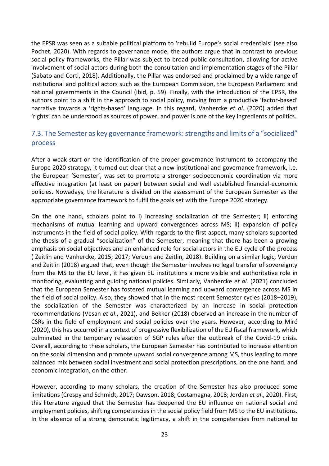the EPSR was seen as a suitable political platform to 'rebuild Europe's social credentials' (see also Pochet, 2020). With regards to governance mode, the authors argue that in contrast to previous social policy frameworks, the Pillar was subject to broad public consultation, allowing for active involvement of social actors during both the consultation and implementation stages of the Pillar (Sabato and Corti, 2018). Additionally, the Pillar was endorsed and proclaimed by a wide range of institutional and political actors such as the European Commission, the European Parliament and national governments in the Council (ibid, p. 59). Finally, with the introduction of the EPSR, the authors point to a shift in the approach to social policy, moving from a productive 'factor-based' narrative towards a 'rights-based' language. In this regard, Vanhercke *et al.* (2020) added that 'rights' can be understood as sources of power, and power is one of the key ingredients of politics.

## <span id="page-22-0"></span>7.3. The Semester as key governance framework: strengths and limits of a "socialized" process

After a weak start on the identification of the proper governance instrument to accompany the Europe 2020 strategy, it turned out clear that a new institutional and governance framework, i.e. the European 'Semester', was set to promote a stronger socioeconomic coordination via more effective integration (at least on paper) between social and well established financial-economic policies. Nowadays, the literature is divided on the assessment of the European Semester as the appropriate governance framework to fulfil the goals set with the Europe 2020 strategy.

On the one hand, scholars point to i) increasing socialization of the Semester; ii) enforcing mechanisms of mutual learning and upward convergences across MS; ii) expansion of policy instruments in the field of social policy. With regards to the first aspect, many scholars supported the thesis of a gradual "socialization" of the Semester, meaning that there has been a growing emphasis on social objectives and an enhanced role for social actors in the EU cycle of the process ( Zeitlin and Vanhercke, 2015; 2017; Verdun and Zeitlin, 2018). Building on a similar logic, Verdun and Zeitlin (2018) argued that, even though the Semester involves no legal transfer of sovereignty from the MS to the EU level, it has given EU institutions a more visible and authoritative role in monitoring, evaluating and guiding national policies. Similarly, Vanhercke *et al.* (2021) concluded that the European Semester has fostered mutual learning and upward convergence across MS in the field of social policy. Also, they showed that in the most recent Semester cycles (2018–2019), the socialization of the Semester was characterized by an increase in social protection recommendations (Vesan *et al*., 2021), and Bekker (2018) observed an increase in the number of CSRs in the field of employment and social policies over the years. However, according to Miró (2020), this has occurred in a context of progressive flexibilization of the EU fiscal framework, which culminated in the temporary relaxation of SGP rules after the outbreak of the Covid-19 crisis. Overall, according to these scholars, the European Semester has contributed to increase attention on the social dimension and promote upward social convergence among MS, thus leading to more balanced mix between social investment and social protection prescriptions, on the one hand, and economic integration, on the other.

However, according to many scholars, the creation of the Semester has also produced some limitations (Crespy and Schmidt, 2017; Dawson, 2018; Costamagna, 2018; Jordan *et al*., 2020). First, this literature argued that the Semester has deepened the EU influence on national social and employment policies, shifting competencies in the social policy field from MS to the EU institutions. In the absence of a strong democratic legitimacy, a shift in the competencies from national to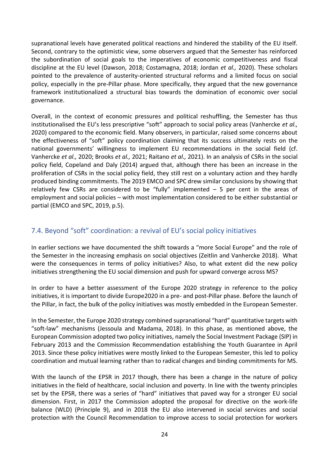supranational levels have generated political reactions and hindered the stability of the EU itself. Second, contrary to the optimistic view, some observers argued that the Semester has reinforced the subordination of social goals to the imperatives of economic competitiveness and fiscal discipline at the EU level (Dawson, 2018; Costamagna, 2018; Jordan *et al.,* 2020). These scholars pointed to the prevalence of austerity-oriented structural reforms and a limited focus on social policy, especially in the pre-Pillar phase. More specifically, they argued that the new governance framework institutionalized a structural bias towards the domination of economic over social governance.

Overall, in the context of economic pressures and political reshuffling, the Semester has thus institutionalised the EU's less prescriptive "soft" approach to social policy areas (Vanhercke *et al.,* 2020) compared to the economic field. Many observers, in particular, raised some concerns about the effectiveness of "soft" policy coordination claiming that its success ultimately rests on the national governments' willingness to implement EU recommendations in the social field (cf. Vanhercke *et al.,* 2020; Brooks *et al.,* 2021; Raitano *et al.,* 2021). In an analysis of CSRs in the social policy field, Copeland and Daly (2014) argued that, although there has been an increase in the proliferation of CSRs in the social policy field, they still rest on a voluntary action and they hardly produced binding commitments. The 2019 EMCO and SPC drew similar conclusions by showing that relatively few CSRs are considered to be "fully" implemented  $-5$  per cent in the areas of employment and social policies – with most implementation considered to be either substantial or partial (EMCO and SPC, 2019, p.5).

### 7.4. Beyond "soft" coordination: a revival of EU's social policy initiatives

In earlier sections we have documented the shift towards a "more Social Europe" and the role of the Semester in the increasing emphasis on social objectives (Zeitlin and Vanhercke 2018). What were the consequences in terms of policy initiatives? Also, to what extent did the new policy initiatives strengthening the EU social dimension and push for upward converge across MS?

In order to have a better assessment of the Europe 2020 strategy in reference to the policy initiatives, it is important to divide Europe2020 in a pre- and post-Pillar phase. Before the launch of the Pillar, in fact, the bulk of the policy initiatives was mostly embedded in the European Semester.

In the Semester, the Europe 2020 strategy combined supranational "hard" quantitative targets with "soft-law" mechanisms (Jessoula and Madama, 2018). In this phase, as mentioned above, the European Commission adopted two policy initiatives, namely the Social Investment Package (SIP) in February 2013 and the Commission Recommendation establishing the Youth Guarantee in April 2013. Since these policy initiatives were mostly linked to the European Semester, this led to policy coordination and mutual learning rather than to radical changes and binding commitments for MS.

With the launch of the EPSR in 2017 though, there has been a change in the nature of policy initiatives in the field of healthcare, social inclusion and poverty. In line with the twenty principles set by the EPSR, there was a series of "hard" initiatives that paved way for a stronger EU social dimension. First, in 2017 the Commission adopted the proposal for directive on the work-life balance (WLD) (Principle 9), and in 2018 the EU also intervened in social services and social protection with the Council Recommendation to improve access to social protection for workers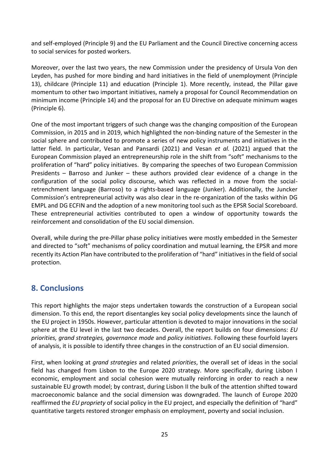and self-employed (Principle 9) and the EU Parliament and the Council Directive concerning access to social services for posted workers.

Moreover, over the last two years, the new Commission under the presidency of Ursula Von den Leyden, has pushed for more binding and hard initiatives in the field of unemployment (Principle 13), childcare (Principle 11) and education (Principle 1). More recently, instead, the Pillar gave momentum to other two important initiatives, namely a proposal for Council Recommendation on minimum income (Principle 14) and the proposal for an EU Directive on adequate minimum wages (Principle 6).

One of the most important triggers of such change was the changing composition of the European Commission, in 2015 and in 2019, which highlighted the non-binding nature of the Semester in the social sphere and contributed to promote a series of new policy instruments and initiatives in the latter field. In particular, Vesan and Pansardi (2021) and Vesan *et al.* (2021) argued that the European Commission played an entrepreneurship role in the shift from "soft" mechanisms to the proliferation of "hard" policy initiatives. By comparing the speeches of two European Commission Presidents – Barroso and Junker – these authors provided clear evidence of a change in the configuration of the social policy discourse, which was reflected in a move from the socialretrenchment language (Barroso) to a rights-based language (Junker). Additionally, the Juncker Commission's entrepreneurial activity was also clear in the re-organization of the tasks within DG EMPL and DG ECFIN and the adoption of a new monitoring tool such as the EPSR Social Scoreboard. These entrepreneurial activities contributed to open a window of opportunity towards the reinforcement and consolidation of the EU social dimension.

Overall, while during the pre-Pillar phase policy initiatives were mostly embedded in the Semester and directed to "soft" mechanisms of policy coordination and mutual learning, the EPSR and more recently its Action Plan have contributed to the proliferation of "hard" initiatives in the field of social protection.

# **8. Conclusions**

This report highlights the major steps undertaken towards the construction of a European social dimension. To this end, the report disentangles key social policy developments since the launch of the EU project in 1950s. However, particular attention is devoted to major innovations in the social sphere at the EU level in the last two decades. Overall, the report builds on four dimensions: *EU priorities, grand strategies, governance mode* and *policy initiatives*. Following these fourfold layers of analysis, it is possible to identify three changes in the construction of an EU social dimension.

First, when looking at *grand strategies* and related *priorities*, the overall set of ideas in the social field has changed from Lisbon to the Europe 2020 strategy. More specifically, during Lisbon I economic, employment and social cohesion were mutually reinforcing in order to reach a new sustainable EU growth model; by contrast, during Lisbon II the bulk of the attention shifted toward macroeconomic balance and the social dimension was downgraded. The launch of Europe 2020 reaffirmed the *EU propriety* of social policy in the EU project, and especially the definition of "hard" quantitative targets restored stronger emphasis on employment, poverty and social inclusion.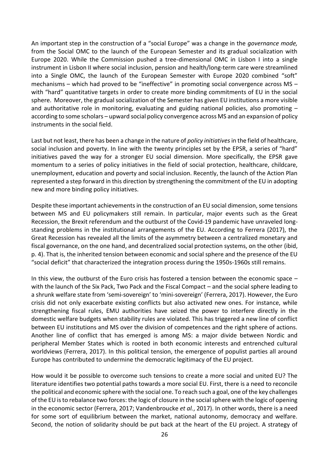An important step in the construction of a "social Europe" was a change in the *governance mode,* from the Social OMC to the launch of the European Semester and its gradual socialization with Europe 2020. While the Commission pushed a tree-dimensional OMC in Lisbon I into a single instrument in Lisbon II where social inclusion, pension and health/long-term care were streamlined into a Single OMC, the launch of the European Semester with Europe 2020 combined "soft" mechanisms – which had proved to be "ineffective" in promoting social convergence across MS – with "hard" quantitative targets in order to create more binding commitments of EU in the social sphere. Moreover, the gradual socialization of the Semester has given EU institutions a more visible and authoritative role in monitoring, evaluating and guiding national policies, also promoting  $$ according to some scholars – upward social policy convergence across MS and an expansion of policy instruments in the social field.

Last but not least, there has been a change in the nature of *policy initiatives*in the field of healthcare, social inclusion and poverty. In line with the twenty principles set by the EPSR, a series of "hard" initiatives paved the way for a stronger EU social dimension. More specifically, the EPSR gave momentum to a series of policy initiatives in the field of social protection, healthcare, childcare, unemployment, education and poverty and social inclusion. Recently, the launch of the Action Plan represented a step forward in this direction by strengthening the commitment of the EU in adopting new and more binding policy initiatives.

Despite these important achievements in the construction of an EU social dimension, some tensions between MS and EU policymakers still remain. In particular, major events such as the Great Recession, the Brexit referendum and the outburst of the Covid-19 pandemic have unraveled longstanding problems in the institutional arrangements of the EU. According to Ferrera (2017), the Great Recession has revealed all the limits of the asymmetry between a centralized monetary and fiscal governance, on the one hand, and decentralized social protection systems, on the other (ibid, p. 4). That is, the inherited tension between economic and social sphere and the presence of the EU "social deficit" that characterized the integration process during the 1950s-1960s still remains.

In this view, the outburst of the Euro crisis has fostered a tension between the economic space – with the launch of the Six Pack, Two Pack and the Fiscal Compact – and the social sphere leading to a shrunk welfare state from 'semi-sovereign' to 'mini-sovereign' (Ferrera, 2017). However, the Euro crisis did not only exacerbate existing conflicts but also activated new ones. For instance, while strengthening fiscal rules, EMU authorities have seized the power to interfere directly in the domestic welfare budgets when stability rules are violated. This has triggered a new line of conflict between EU institutions and MS over the division of competences and the right sphere of actions. Another line of conflict that has emerged is among MS: a major divide between Nordic and peripheral Member States which is rooted in both economic interests and entrenched cultural worldviews (Ferrera, 2017). In this political tension, the emergence of populist parties all around Europe has contributed to undermine the democratic legitimacy of the EU project.

How would it be possible to overcome such tensions to create a more social and united EU? The literature identifies two potential paths towards a more social EU. First, there is a need to reconcile the political and economic sphere with the social one. To reach such a goal, one of the key challenges of the EU is to rebalance two forces: the logic of closure in the social sphere with the logic of opening in the economic sector (Ferrera, 2017; Vandenbroucke *et al.*, 2017). In other words, there is a need for some sort of equilibrium between the market, national autonomy, democracy and welfare. Second, the notion of solidarity should be put back at the heart of the EU project. A strategy of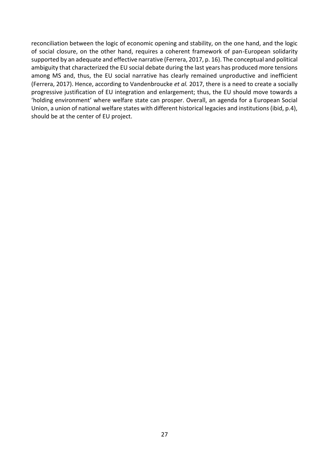reconciliation between the logic of economic opening and stability, on the one hand, and the logic of social closure, on the other hand, requires a coherent framework of pan-European solidarity supported by an adequate and effective narrative (Ferrera, 2017, p. 16). The conceptual and political ambiguity that characterized the EU social debate during the last years has produced more tensions among MS and, thus, the EU social narrative has clearly remained unproductive and inefficient (Ferrera, 2017). Hence, according to Vandenbroucke *et al.* 2017, there is a need to create a socially progressive justification of EU integration and enlargement; thus, the EU should move towards a 'holding environment' where welfare state can prosper. Overall, an agenda for a European Social Union, a union of national welfare states with different historical legacies and institutions (ibid, p.4), should be at the center of EU project.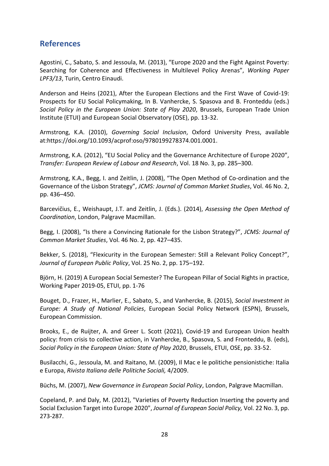## <span id="page-27-0"></span>**References**

Agostini, C., Sabato, S. and Jessoula, M. (2013), "Europe 2020 and the Fight Against Poverty: Searching for Coherence and Effectiveness in Multilevel Policy Arenas", *Working Paper LPF3/13*, Turin, Centro Einaudi.

Anderson and Heins (2021), After the European Elections and the First Wave of Covid-19: Prospects for EU Social Policymaking, In B. Vanhercke, S. Spasova and B. Fronteddu (eds.) *Social Policy in the European Union: State of Play 2020*, Brussels, European Trade Union Institute (ETUI) and European Social Observatory (OSE), pp. 13-32.

Armstrong, K.A. (2010), *Governing Social Inclusion*, Oxford University Press, available at:https://doi.org/10.1093/acprof:oso/9780199278374.001.0001.

Armstrong, K.A. (2012), "EU Social Policy and the Governance Architecture of Europe 2020", *Transfer: European Review of Labour and Research*, Vol. 18 No. 3, pp. 285–300.

Armstrong, K.A., Begg, I. and Zeitlin, J. (2008), "The Open Method of Co-ordination and the Governance of the Lisbon Strategy", *JCMS: Journal of Common Market Studies*, Vol. 46 No. 2, pp. 436–450.

Barcevičius, E., Weishaupt, J.T. and Zeitlin, J. (Eds.). (2014), *Assessing the Open Method of Coordination*, London, Palgrave Macmillan.

Begg, I. (2008), "Is there a Convincing Rationale for the Lisbon Strategy?", *JCMS: Journal of Common Market Studies*, Vol. 46 No. 2, pp. 427–435.

Bekker, S. (2018), "Flexicurity in the European Semester: Still a Relevant Policy Concept?", *Journal of European Public Policy*, Vol. 25 No. 2, pp. 175–192.

Björn, H. (2019) A European Social Semester? The European Pillar of Social Rights in practice, Working Paper 2019-05, ETUI, pp. 1-76

Bouget, D., Frazer, H., Marlier, E., Sabato, S., and Vanhercke, B. (2015), *Social Investment in Europe: A Study of National Policies*, European Social Policy Network (ESPN), Brussels, European Commission.

Brooks, E., de Ruijter, A. and Greer L. Scott (2021), Covid-19 and European Union health policy: from crisis to collective action, in Vanhercke, B., Spasova, S. and Fronteddu, B. (eds), *Social Policy in the European Union: State of Play 2020*, Brussels, ETUI, OSE, pp. 33-52.

Busilacchi, G., Jessoula, M. and Raitano, M. (2009), Il Mac e le politiche pensionistiche: Italia e Europa, *Rivista Italiana delle Politiche Sociali,* 4/2009.

Büchs, M. (2007), *New Governance in European Social Policy*, London, Palgrave Macmillan.

Copeland, P. and Daly, M. (2012), "Varieties of Poverty Reduction Inserting the poverty and Social Exclusion Target into Europe 2020", *Journal of European Social Policy,* Vol. 22 No. 3, pp. 273-287.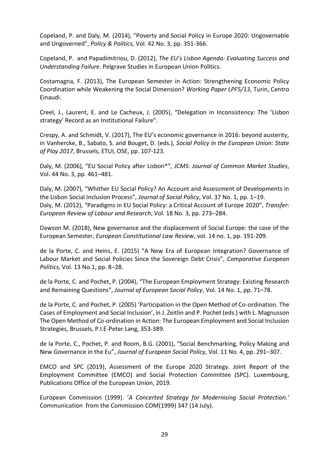Copeland, P. and Daly, M. (2014), "Poverty and Social Policy in Europe 2020: Ungovernable and Ungoverned", *Policy & Politics,* Vol. 42 No. 3, pp. 351-366.

Copeland, P. and Papadimitriou, D. (2012), *The EU's Lisbon Agenda: Evaluating Success and Understanding Failure*. Pelgrave Studies in European Union Politics.

Costamagna, F. (2013), The European Semester in Action: Strengthening Economic Policy Coordination while Weakening the Social Dimension? *Working Paper LPF5/13*, Turin, Centro Einaudi.

Creel, J., Laurent, E. and Le Cacheux, J. (2005), "Delegation in Inconsistency: The 'Lisbon strategy' Record as an Institutional Failure".

Crespy, A. and Schmidt, V. (2017), The EU's economic governance in 2016: beyond austerity, in Vanhercke, B., Sabato, S. and Bouget, D. (eds.), *Social Policy in the European Union: State of Play 2017*, Brussels, ETUI, OSE, pp. 107-123.

Daly, M. (2006), "EU Social Policy after Lisbon\*", *JCMS: Journal of Common Market Studies*, Vol. 44 No. 3, pp. 461–481.

Daly, M. (2007), "Whither EU Social Policy? An Account and Assessment of Developments in the Lisbon Social Inclusion Process", *Journal of Social Policy*, Vol. 37 No. 1, pp. 1–19. Daly, M. (2012), "Paradigms in EU Social Policy: a Critical Account of Europe 2020", *Transfer: European Review of Labour and Research*, Vol. 18 No. 3, pp. 273–284.

Dawson M. (2018), New governance and the displacement of Social Europe: the case of the European Semester, *European Constitutional Law Review*, vol. 14 no. 1, pp. 191-209.

de la Porte, C. and Heins, E. (2015) "A New Era of European Integration? Governance of Labour Market and Social Policies Since the Sovereign Debt Crisis", *Comparative European Politics,* Vol. 13 No.1, pp. 8–28.

de la Porte, C. and Pochet, P. (2004), "The European Employment Strategy: Existing Research and Remaining Questions", *Journal of European Social Policy*, Vol. 14 No. 1, pp. 71–78.

de la Porte, C. and Pochet, P. (2005) 'Participation in the Open Method of Co-ordination. The Cases of Employment and Social Inclusion', in J. Zeitlin and P. Pochet (eds.) with L. Magnusson The Open Method of Co-ordination in Action: The European Employment and Social Inclusion Strategies, Brussels, P.I.E-Peter Lang, 353-389.

de la Porte, C., Pochet, P. and Room, B.G. (2001), "Social Benchmarking, Policy Making and New Governance in the Eu", *Journal of European Social Policy*, Vol. 11 No. 4, pp. 291–307.

EMCO and SPC (2019), Assessment of the Europe 2020 Strategy. Joint Report of the Employment Committee (EMCO) and Social Protection Committee (SPC). Luxembourg, Publications Office of the European Union, 2019.

European Commission (1999). '*A Concerted Strategy for Modernising Social Protection.'*  Communication from the Commission COM(1999) 347 (14 July).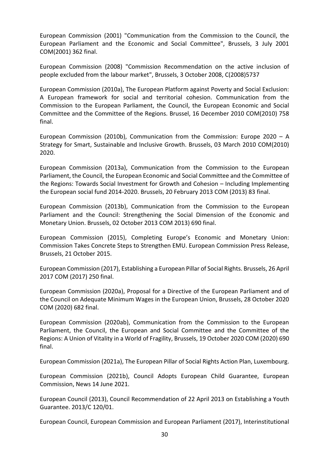European Commission (2001) "Communication from the Commission to the Council, the European Parliament and the Economic and Social Committee", Brussels, 3 July 2001 COM(2001) 362 final.

European Commission (2008) "Commission Recommendation on the active inclusion of people excluded from the labour market", Brussels, 3 October 2008, C(2008)5737

European Commission (2010a), The European Platform against Poverty and Social Exclusion: A European framework for social and territorial cohesion. Communication from the Commission to the European Parliament, the Council, the European Economic and Social Committee and the Committee of the Regions. Brussel, 16 December 2010 COM(2010) 758 final.

European Commission (2010b), Communication from the Commission: Europe 2020 – A Strategy for Smart, Sustainable and Inclusive Growth. Brussels, 03 March 2010 COM(2010) 2020.

European Commission (2013a), Communication from the Commission to the European Parliament, the Council, the European Economic and Social Committee and the Committee of the Regions: Towards Social Investment for Growth and Cohesion – Including Implementing the European social fund 2014-2020. Brussels, 20 February 2013 COM (2013) 83 final.

European Commission (2013b), Communication from the Commission to the European Parliament and the Council: Strengthening the Social Dimension of the Economic and Monetary Union. Brussels, 02 October 2013 COM 2013) 690 final.

European Commission (2015), Completing Europe's Economic and Monetary Union: Commission Takes Concrete Steps to Strengthen EMU. European Commission Press Release, Brussels, 21 October 2015.

European Commission (2017), Establishing a European Pillar of Social Rights. Brussels, 26 April 2017 COM (2017) 250 final.

European Commission (2020a), Proposal for a Directive of the European Parliament and of the Council on Adequate Minimum Wages in the European Union, Brussels, 28 October 2020 COM (2020) 682 final.

European Commission (2020ab), Communication from the Commission to the European Parliament, the Council, the European and Social Committee and the Committee of the Regions: A Union of Vitality in a World of Fragility, Brussels, 19 October 2020 COM (2020) 690 final.

European Commission (2021a), The European Pillar of Social Rights Action Plan, Luxembourg.

European Commission (2021b), Council Adopts European Child Guarantee, European Commission, News 14 June 2021.

European Council (2013), Council Recommendation of 22 April 2013 on Establishing a Youth Guarantee. 2013/C 120/01.

European Council, European Commission and European Parliament (2017), Interinstitutional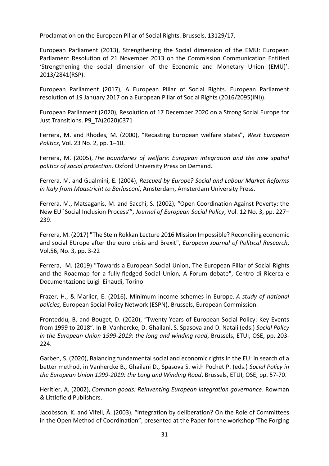Proclamation on the European Pillar of Social Rights. Brussels, 13129/17.

European Parliament (2013), Strengthening the Social dimension of the EMU: European Parliament Resolution of 21 November 2013 on the Commission Communication Entitled 'Strengthening the social dimension of the Economic and Monetary Union (EMU)'. 2013/2841(RSP).

European Parliament (2017), A European Pillar of Social Rights. European Parliament resolution of 19 January 2017 on a European Pillar of Social Rights (2016/2095(INI)).

European Parliament (2020), Resolution of 17 December 2020 on a Strong Social Europe for Just Transitions. P9\_TA(2020)0371

Ferrera, M. and Rhodes, M. (2000), "Recasting European welfare states", *West European Politics*, Vol. 23 No. 2, pp. 1–10.

Ferrera, M. (2005), *The boundaries of welfare: European integration and the new spatial politics of social protection*. Oxford University Press on Demand.

Ferrera, M. and Gualmini, E. (2004), *Rescued by Europe? Social and Labour Market Reforms in Italy from Maastricht to Berlusconi*, Amsterdam, Amsterdam University Press.

Ferrera, M., Matsaganis, M. and Sacchi, S. (2002), "Open Coordination Against Poverty: the New EU `Social Inclusion Process'", *Journal of European Social Policy*, Vol. 12 No. 3, pp. 227– 239.

Ferrera, M. (2017) "The Stein Rokkan Lecture 2016 Mission Impossible? Reconciling economic and social EUrope after the euro crisis and Brexit", *European Journal of Political Research*, Vol.56, No. 3, pp. 3-22

Ferrera, M. (2019) "Towards a European Social Union, The European Pillar of Social Rights and the Roadmap for a fully-fledged Social Union*,* A Forum debate", Centro di Ricerca e Documentazione Luigi Einaudi, Torino

Frazer, H., & Marlier, E. (2016), Minimum income schemes in Europe. *A study of national policies,* European Social Policy Network (ESPN), Brussels, European Commission.

Fronteddu, B. and Bouget, D. (2020), "Twenty Years of European Social Policy: Key Events from 1999 to 2018". In B. Vanhercke, D. Ghailani, S. Spasova and D. Natali (eds.) *Social Policy in the European Union 1999-2019: the long and winding road*, Brussels, ETUI, OSE, pp. 203- 224.

Garben, S. (2020), Balancing fundamental social and economic rights in the EU: in search of a better method, in Vanhercke B., Ghailani D., Spasova S. with Pochet P. (eds.) *Social Policy in the European Union 1999-2019: the Long and Winding Road*, Brussels, ETUI, OSE, pp. 57-70.

Heritier, A. (2002), *Common goods: Reinventing European integration governance*. Rowman & Littlefield Publishers.

Jacobsson, K. and Vifell, Å. (2003), "Integration by deliberation? On the Role of Committees in the Open Method of Coordination", presented at the Paper for the workshop 'The Forging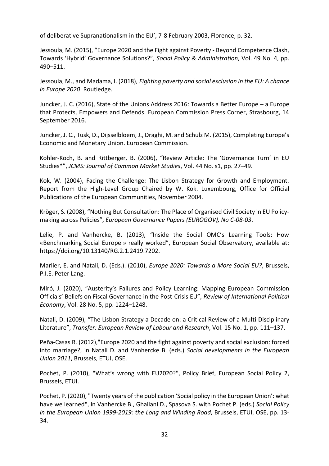of deliberative Supranationalism in the EU', 7-8 February 2003, Florence, p. 32.

Jessoula, M. (2015), "Europe 2020 and the Fight against Poverty - Beyond Competence Clash, Towards 'Hybrid' Governance Solutions?", *Social Policy & Administration*, Vol. 49 No. 4, pp. 490–511.

Jessoula, M., and Madama, I. (2018), *Fighting poverty and social exclusion in the EU: A chance in Europe 2020*. Routledge.

Juncker, J. C. (2016), State of the Unions Address 2016: Towards a Better Europe – a Europe that Protects, Empowers and Defends. European Commission Press Corner, Strasbourg, 14 September 2016.

Juncker, J. C., Tusk, D., Dijsselbloem, J., Draghi, M. and Schulz M. (2015), Completing Europe's Economic and Monetary Union. European Commission.

Kohler-Koch, B. and Rittberger, B. (2006), "Review Article: The 'Governance Turn' in EU Studies\*", *JCMS: Journal of Common Market Studies*, Vol. 44 No. s1, pp. 27–49.

Kok, W. (2004), Facing the Challenge: The Lisbon Strategy for Growth and Employment. Report from the High-Level Group Chaired by W. Kok. Luxembourg, Office for Official Publications of the European Communities, November 2004.

Kröger, S. (2008), "Nothing But Consultation: The Place of Organised Civil Society in EU Policymaking across Policies", *European Governance Papers (EUROGOV), No C-08-03*.

Lelie, P. and Vanhercke, B. (2013), "Inside the Social OMC's Learning Tools: How «Benchmarking Social Europe » really worked", European Social Observatory, available at: https://doi.org/10.13140/RG.2.1.2419.7202.

Marlier, E. and Natali, D. (Eds.). (2010), *Europe 2020: Towards a More Social EU?*, Brussels, P.I.E. Peter Lang.

Miró, J. (2020), "Austerity's Failures and Policy Learning: Mapping European Commission Officials' Beliefs on Fiscal Governance in the Post-Crisis EU", *Review of International Political Economy*, Vol. 28 No. 5, pp. 1224–1248.

Natali, D. (2009), "The Lisbon Strategy a Decade on: a Critical Review of a Multi-Disciplinary Literature", *Transfer: European Review of Labour and Research*, Vol. 15 No. 1, pp. 111–137.

Peña-Casas R. (2012),"Europe 2020 and the fight against poverty and social exclusion: forced into marriage?, in Natali D. and Vanhercke B. (eds.) *Social developments in the European Union 2011*, Brussels, ETUI, OSE.

Pochet, P. (2010), "What's wrong with EU2020?", Policy Brief, European Social Policy 2, Brussels, ETUI.

Pochet, P. (2020), "Twenty years of the publication 'Social policy in the European Union': what have we learned", in Vanhercke B., Ghailani D., Spasova S. with Pochet P. (eds.) *Social Policy in the European Union 1999-2019: the Long and Winding Road*, Brussels, ETUI, OSE, pp. 13- 34.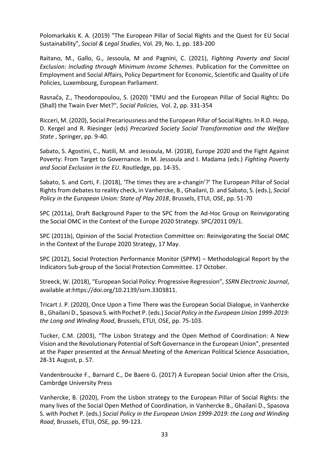Polomarkakis K. A. (2019) "The European Pillar of Social Rights and the Quest for EU Social Sustainability", *Social & Legal Studies*, Vol. 29, No. 1, pp. 183-200

Raitano, M., Gallo, G., Jessoula, M and Pagnini, C. (2021), *Fighting Poverty and Social Exclusion: Including through Minimum Income Schemes*. Publication for the Committee on Employment and Social Affairs, Policy Department for Economic, Scientific and Quality of Life Policies, Luxembourg, European Parliament.

Rasnača, Z., Theodoropoulou, S. (2020) "EMU and the European Pillar of Social Rights: Do (Shall) the Twain Ever Met?", *Social Policies*, Vol. 2, pp. 331-354

Ricceri, M. (2020), Social Precariousness and the European Pillar of Social Rights. In R.D. Hepp, D. Kergel and R. Riesinger (eds) *Precarized Society Social Transformation and the Welfare State* , Springer, pp. 9-40.

Sabato, S. Agostini, C., Natili, M. and Jessoula, M. (2018), Europe 2020 and the Fight Against Poverty: From Target to Governance. In M. Jessoula and I. Madama (eds.) *Fighting Poverty and Social Exclusion in the EU*. Routledge, pp. 14-35.

Sabato, S. and Corti, F. (2018), 'The times they are a-changin'?' The European Pillar of Social Rights from debates to reality check, in Vanhercke, B., Ghailani, D. and Sabato, S. (eds.), *Social Policy in the European Union: State of Play 2018*, Brussels, ETUI, OSE, pp. 51-70

SPC (2011a), Draft Background Paper to the SPC from the Ad-Hoc Group on Reinvigorating the Social OMC in the Context of the Europe 2020 Strategy. SPC/2011 09/1.

SPC (2011b), Opinion of the Social Protection Committee on: Reinvigorating the Social OMC in the Context of the Europe 2020 Strategy, 17 May.

SPC (2012), Social Protection Performance Monitor (SPPM) – Methodological Report by the Indicators Sub-group of the Social Protection Committee. 17 October.

Streeck, W. (2018), "European Social Policy: Progressive Regression", *SSRN Electronic Journal*, available at:https://doi.org/10.2139/ssrn.3303811.

Tricart J. P. (2020), Once Upon a Time There was the European Social Dialogue, in Vanhercke B., Ghailani D., Spasova S. with Pochet P. (eds.) *Social Policy in the European Union 1999-2019: the Long and Winding Road*, Brussels, ETUI, OSE, pp. 75-103.

Tucker, C.M. (2003), "The Lisbon Strategy and the Open Method of Coordination: A New Vision and the Revolutionary Potential of Soft Governance in the European Union", presented at the Paper presented at the Annual Meeting of the American Political Science Association, 28-31 August, p. 57.

Vandenbroucke F., Barnard C., De Baere G. (2017) A European Social Union after the Crisis, Cambrdge University Press

Vanhercke, B. (2020), From the Lisbon strategy to the European Pillar of Social Rights: the many lives of the Social Open Method of Coordination, in Vanhercke B., Ghailani D., Spasova S. with Pochet P. (eds.) *Social Policy in the European Union 1999-2019: the Long and Winding Road*, Brussels, ETUI, OSE, pp. 99-123.